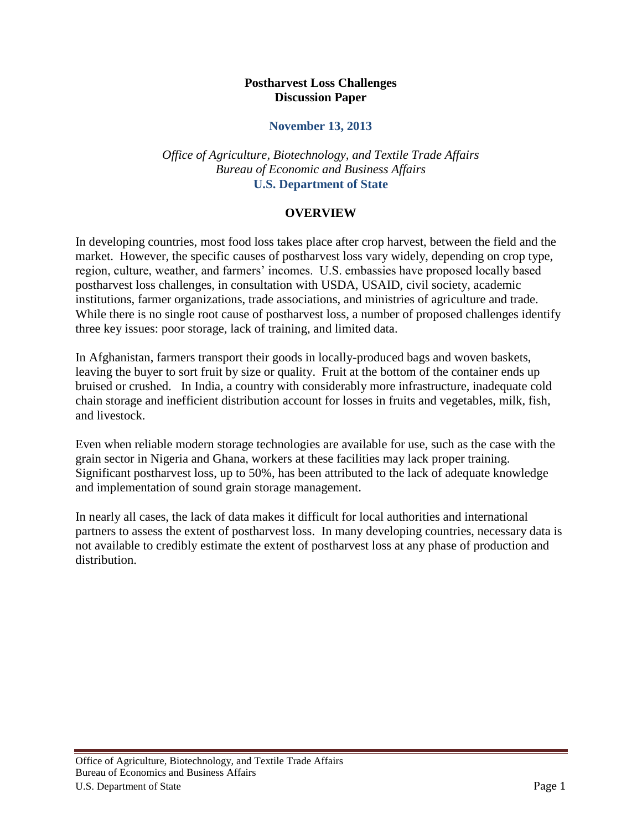### **Postharvest Loss Challenges Discussion Paper**

### **November 13, 2013**

*Office of Agriculture, Biotechnology, and Textile Trade Affairs Bureau of Economic and Business Affairs* **U.S. Department of State**

### **OVERVIEW**

In developing countries, most food loss takes place after crop harvest, between the field and the market. However, the specific causes of postharvest loss vary widely, depending on crop type, region, culture, weather, and farmers' incomes. U.S. embassies have proposed locally based postharvest loss challenges, in consultation with USDA, USAID, civil society, academic institutions, farmer organizations, trade associations, and ministries of agriculture and trade. While there is no single root cause of postharvest loss, a number of proposed challenges identify three key issues: poor storage, lack of training, and limited data.

In Afghanistan, farmers transport their goods in locally-produced bags and woven baskets, leaving the buyer to sort fruit by size or quality. Fruit at the bottom of the container ends up bruised or crushed. In India, a country with considerably more infrastructure, inadequate cold chain storage and inefficient distribution account for losses in fruits and vegetables, milk, fish, and livestock.

Even when reliable modern storage technologies are available for use, such as the case with the grain sector in Nigeria and Ghana, workers at these facilities may lack proper training. Significant postharvest loss, up to 50%, has been attributed to the lack of adequate knowledge and implementation of sound grain storage management.

In nearly all cases, the lack of data makes it difficult for local authorities and international partners to assess the extent of postharvest loss. In many developing countries, necessary data is not available to credibly estimate the extent of postharvest loss at any phase of production and distribution.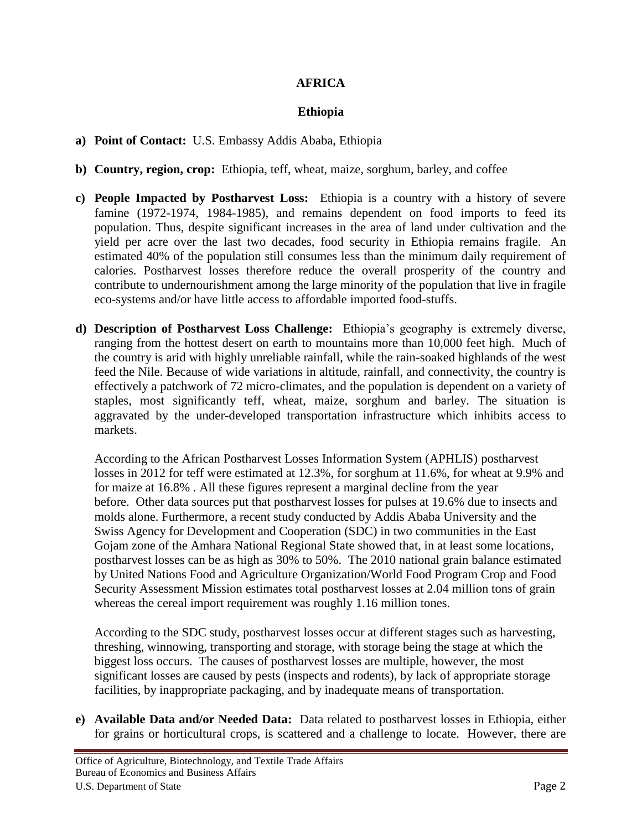## **AFRICA**

## **Ethiopia**

- **a) Point of Contact:** U.S. Embassy Addis Ababa, Ethiopia
- **b) Country, region, crop:** Ethiopia, teff, wheat, maize, sorghum, barley, and coffee
- **c) People Impacted by Postharvest Loss:** Ethiopia is a country with a history of severe famine (1972-1974, 1984-1985), and remains dependent on food imports to feed its population. Thus, despite significant increases in the area of land under cultivation and the yield per acre over the last two decades, food security in Ethiopia remains fragile. An estimated 40% of the population still consumes less than the minimum daily requirement of calories. Postharvest losses therefore reduce the overall prosperity of the country and contribute to undernourishment among the large minority of the population that live in fragile eco-systems and/or have little access to affordable imported food-stuffs.
- **d) Description of Postharvest Loss Challenge:** Ethiopia's geography is extremely diverse, ranging from the hottest desert on earth to mountains more than 10,000 feet high. Much of the country is arid with highly unreliable rainfall, while the rain-soaked highlands of the west feed the Nile. Because of wide variations in altitude, rainfall, and connectivity, the country is effectively a patchwork of 72 micro-climates, and the population is dependent on a variety of staples, most significantly teff, wheat, maize, sorghum and barley. The situation is aggravated by the under-developed transportation infrastructure which inhibits access to markets.

According to the African Postharvest Losses Information System (APHLIS) postharvest losses in 2012 for teff were estimated at 12.3%, for sorghum at 11.6%, for wheat at 9.9% and for maize at 16.8% . All these figures represent a marginal decline from the year before. Other data sources put that postharvest losses for pulses at 19.6% due to insects and molds alone. Furthermore, a recent study conducted by Addis Ababa University and the Swiss Agency for Development and Cooperation (SDC) in two communities in the East Gojam zone of the Amhara National Regional State showed that, in at least some locations, postharvest losses can be as high as 30% to 50%. The 2010 national grain balance estimated by United Nations Food and Agriculture Organization/World Food Program Crop and Food Security Assessment Mission estimates total postharvest losses at 2.04 million tons of grain whereas the cereal import requirement was roughly 1.16 million tones.

According to the SDC study, postharvest losses occur at different stages such as harvesting, threshing, winnowing, transporting and storage, with storage being the stage at which the biggest loss occurs. The causes of postharvest losses are multiple, however, the most significant losses are caused by pests (inspects and rodents), by lack of appropriate storage facilities, by inappropriate packaging, and by inadequate means of transportation.

**e) Available Data and/or Needed Data:** Data related to postharvest losses in Ethiopia, either for grains or horticultural crops, is scattered and a challenge to locate. However, there are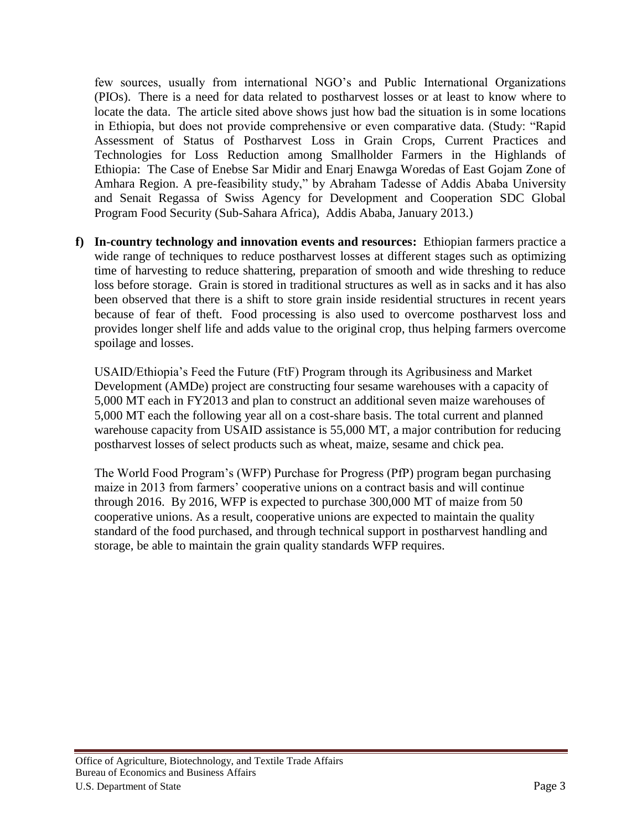few sources, usually from international NGO's and Public International Organizations (PIOs). There is a need for data related to postharvest losses or at least to know where to locate the data. The article sited above shows just how bad the situation is in some locations in Ethiopia, but does not provide comprehensive or even comparative data. (Study: "Rapid Assessment of Status of Postharvest Loss in Grain Crops, Current Practices and Technologies for Loss Reduction among Smallholder Farmers in the Highlands of Ethiopia: The Case of Enebse Sar Midir and Enarj Enawga Woredas of East Gojam Zone of Amhara Region. A pre-feasibility study," by Abraham Tadesse of Addis Ababa University and Senait Regassa of Swiss Agency for Development and Cooperation SDC Global Program Food Security (Sub-Sahara Africa), Addis Ababa, January 2013.)

**f) In-country technology and innovation events and resources:** Ethiopian farmers practice a wide range of techniques to reduce postharvest losses at different stages such as optimizing time of harvesting to reduce shattering, preparation of smooth and wide threshing to reduce loss before storage. Grain is stored in traditional structures as well as in sacks and it has also been observed that there is a shift to store grain inside residential structures in recent years because of fear of theft. Food processing is also used to overcome postharvest loss and provides longer shelf life and adds value to the original crop, thus helping farmers overcome spoilage and losses.

USAID/Ethiopia's Feed the Future (FtF) Program through its Agribusiness and Market Development (AMDe) project are constructing four sesame warehouses with a capacity of 5,000 MT each in FY2013 and plan to construct an additional seven maize warehouses of 5,000 MT each the following year all on a cost-share basis. The total current and planned warehouse capacity from USAID assistance is 55,000 MT, a major contribution for reducing postharvest losses of select products such as wheat, maize, sesame and chick pea.

The World Food Program's (WFP) Purchase for Progress (PfP) program began purchasing maize in 2013 from farmers' cooperative unions on a contract basis and will continue through 2016. By 2016, WFP is expected to purchase 300,000 MT of maize from 50 cooperative unions. As a result, cooperative unions are expected to maintain the quality standard of the food purchased, and through technical support in postharvest handling and storage, be able to maintain the grain quality standards WFP requires.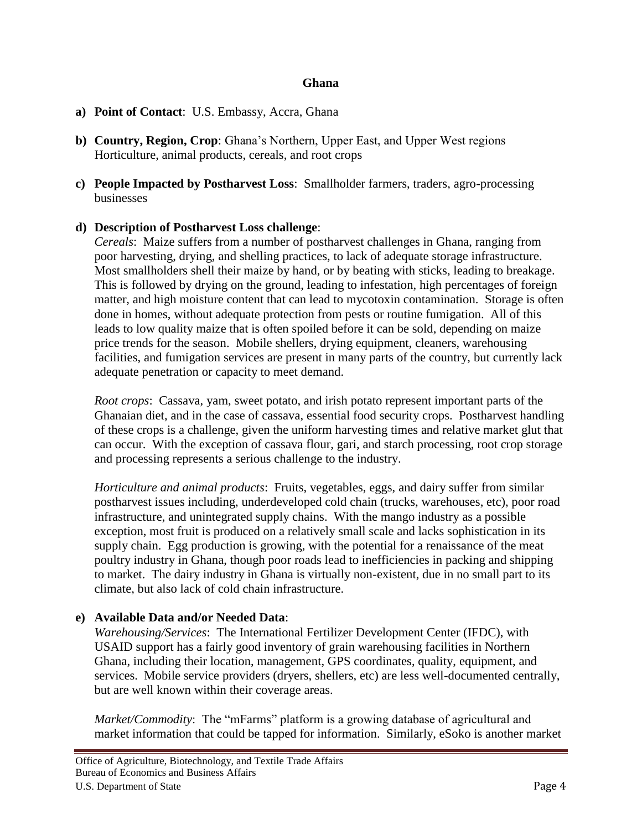### **Ghana**

- **a) Point of Contact**: U.S. Embassy, Accra, Ghana
- **b) Country, Region, Crop**: Ghana's Northern, Upper East, and Upper West regions Horticulture, animal products, cereals, and root crops
- **c) People Impacted by Postharvest Loss**: Smallholder farmers, traders, agro-processing businesses

### **d) Description of Postharvest Loss challenge**:

*Cereals*: Maize suffers from a number of postharvest challenges in Ghana, ranging from poor harvesting, drying, and shelling practices, to lack of adequate storage infrastructure. Most smallholders shell their maize by hand, or by beating with sticks, leading to breakage. This is followed by drying on the ground, leading to infestation, high percentages of foreign matter, and high moisture content that can lead to mycotoxin contamination. Storage is often done in homes, without adequate protection from pests or routine fumigation. All of this leads to low quality maize that is often spoiled before it can be sold, depending on maize price trends for the season. Mobile shellers, drying equipment, cleaners, warehousing facilities, and fumigation services are present in many parts of the country, but currently lack adequate penetration or capacity to meet demand.

*Root crops*: Cassava, yam, sweet potato, and irish potato represent important parts of the Ghanaian diet, and in the case of cassava, essential food security crops. Postharvest handling of these crops is a challenge, given the uniform harvesting times and relative market glut that can occur. With the exception of cassava flour, gari, and starch processing, root crop storage and processing represents a serious challenge to the industry.

*Horticulture and animal products*: Fruits, vegetables, eggs, and dairy suffer from similar postharvest issues including, underdeveloped cold chain (trucks, warehouses, etc), poor road infrastructure, and unintegrated supply chains. With the mango industry as a possible exception, most fruit is produced on a relatively small scale and lacks sophistication in its supply chain. Egg production is growing, with the potential for a renaissance of the meat poultry industry in Ghana, though poor roads lead to inefficiencies in packing and shipping to market. The dairy industry in Ghana is virtually non-existent, due in no small part to its climate, but also lack of cold chain infrastructure.

## **e) Available Data and/or Needed Data**:

*Warehousing/Services*: The International Fertilizer Development Center (IFDC), with USAID support has a fairly good inventory of grain warehousing facilities in Northern Ghana, including their location, management, GPS coordinates, quality, equipment, and services. Mobile service providers (dryers, shellers, etc) are less well-documented centrally, but are well known within their coverage areas.

*Market/Commodity*: The "mFarms" platform is a growing database of agricultural and market information that could be tapped for information. Similarly, eSoko is another market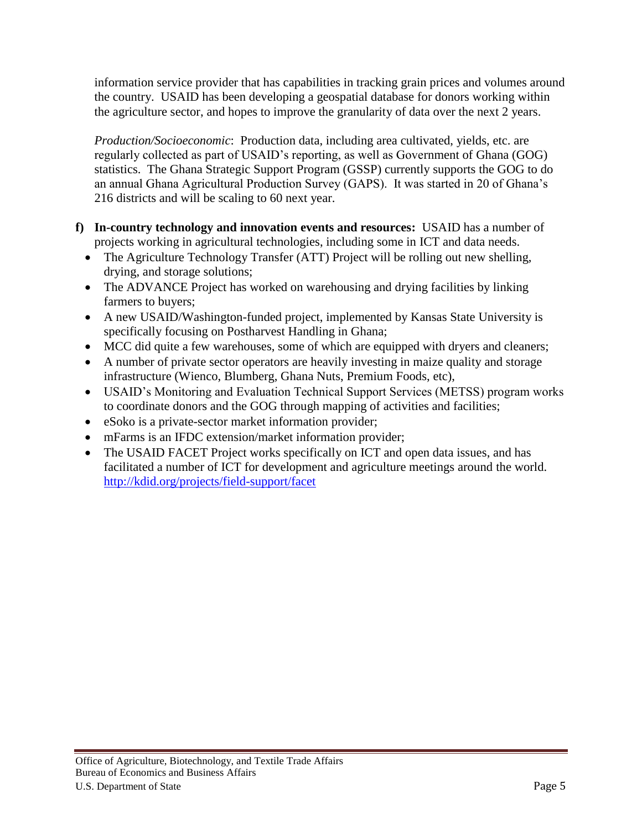information service provider that has capabilities in tracking grain prices and volumes around the country. USAID has been developing a geospatial database for donors working within the agriculture sector, and hopes to improve the granularity of data over the next 2 years.

*Production/Socioeconomic*: Production data, including area cultivated, yields, etc. are regularly collected as part of USAID's reporting, as well as Government of Ghana (GOG) statistics. The Ghana Strategic Support Program (GSSP) currently supports the GOG to do an annual Ghana Agricultural Production Survey (GAPS). It was started in 20 of Ghana's 216 districts and will be scaling to 60 next year.

- **f) In-country technology and innovation events and resources:** USAID has a number of projects working in agricultural technologies, including some in ICT and data needs.
	- The Agriculture Technology Transfer (ATT) Project will be rolling out new shelling, drying, and storage solutions;
	- The ADVANCE Project has worked on warehousing and drying facilities by linking farmers to buyers;
	- A new USAID/Washington-funded project, implemented by Kansas State University is specifically focusing on Postharvest Handling in Ghana;
	- MCC did quite a few warehouses, some of which are equipped with dryers and cleaners;
	- A number of private sector operators are heavily investing in maize quality and storage infrastructure (Wienco, Blumberg, Ghana Nuts, Premium Foods, etc),
	- USAID's Monitoring and Evaluation Technical Support Services (METSS) program works to coordinate donors and the GOG through mapping of activities and facilities;
	- eSoko is a private-sector market information provider;
	- mFarms is an IFDC extension/market information provider;
	- The USAID FACET Project works specifically on ICT and open data issues, and has facilitated a number of ICT for development and agriculture meetings around the world. <http://kdid.org/projects/field-support/facet>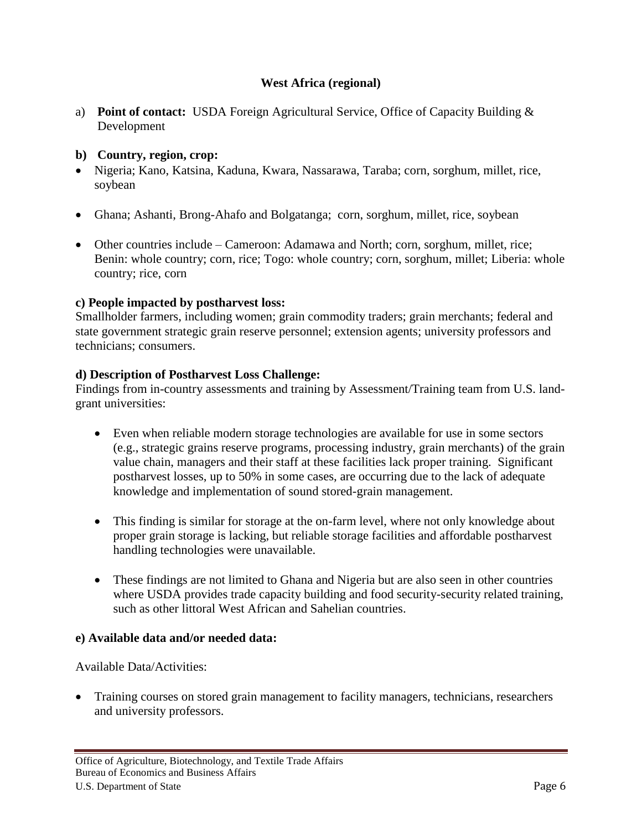## **West Africa (regional)**

- a) **Point of contact:** USDA Foreign Agricultural Service, Office of Capacity Building & Development
- **b) Country, region, crop:**
- Nigeria; Kano, Katsina, Kaduna, Kwara, Nassarawa, Taraba; corn, sorghum, millet, rice, soybean
- Ghana; Ashanti, Brong-Ahafo and Bolgatanga; corn, sorghum, millet, rice, soybean
- Other countries include Cameroon: Adamawa and North; corn, sorghum, millet, rice; Benin: whole country; corn, rice; Togo: whole country; corn, sorghum, millet; Liberia: whole country; rice, corn

### **c) People impacted by postharvest loss:**

Smallholder farmers, including women; grain commodity traders; grain merchants; federal and state government strategic grain reserve personnel; extension agents; university professors and technicians; consumers.

### **d) Description of Postharvest Loss Challenge:**

Findings from in-country assessments and training by Assessment/Training team from U.S. landgrant universities:

- Even when reliable modern storage technologies are available for use in some sectors (e.g., strategic grains reserve programs, processing industry, grain merchants) of the grain value chain, managers and their staff at these facilities lack proper training. Significant postharvest losses, up to 50% in some cases, are occurring due to the lack of adequate knowledge and implementation of sound stored-grain management.
- This finding is similar for storage at the on-farm level, where not only knowledge about proper grain storage is lacking, but reliable storage facilities and affordable postharvest handling technologies were unavailable.
- These findings are not limited to Ghana and Nigeria but are also seen in other countries where USDA provides trade capacity building and food security-security related training, such as other littoral West African and Sahelian countries.

#### **e) Available data and/or needed data:**

Available Data/Activities:

 Training courses on stored grain management to facility managers, technicians, researchers and university professors.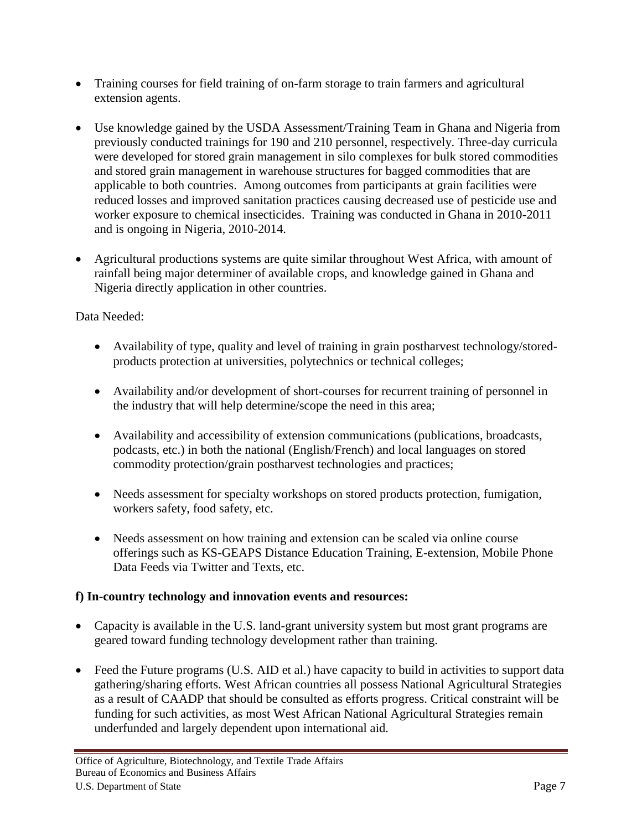- Training courses for field training of on-farm storage to train farmers and agricultural extension agents.
- Use knowledge gained by the USDA Assessment/Training Team in Ghana and Nigeria from previously conducted trainings for 190 and 210 personnel, respectively. Three-day curricula were developed for stored grain management in silo complexes for bulk stored commodities and stored grain management in warehouse structures for bagged commodities that are applicable to both countries. Among outcomes from participants at grain facilities were reduced losses and improved sanitation practices causing decreased use of pesticide use and worker exposure to chemical insecticides. Training was conducted in Ghana in 2010-2011 and is ongoing in Nigeria, 2010-2014.
- Agricultural productions systems are quite similar throughout West Africa, with amount of rainfall being major determiner of available crops, and knowledge gained in Ghana and Nigeria directly application in other countries.

# Data Needed:

- Availability of type, quality and level of training in grain postharvest technology/storedproducts protection at universities, polytechnics or technical colleges;
- Availability and/or development of short-courses for recurrent training of personnel in the industry that will help determine/scope the need in this area;
- Availability and accessibility of extension communications (publications, broadcasts, podcasts, etc.) in both the national (English/French) and local languages on stored commodity protection/grain postharvest technologies and practices;
- Needs assessment for specialty workshops on stored products protection, fumigation, workers safety, food safety, etc.
- Needs assessment on how training and extension can be scaled via online course offerings such as KS-GEAPS Distance Education Training, E-extension, Mobile Phone Data Feeds via Twitter and Texts, etc.

# **f) In-country technology and innovation events and resources:**

- Capacity is available in the U.S. land-grant university system but most grant programs are geared toward funding technology development rather than training.
- Feed the Future programs (U.S. AID et al.) have capacity to build in activities to support data gathering/sharing efforts. West African countries all possess National Agricultural Strategies as a result of CAADP that should be consulted as efforts progress. Critical constraint will be funding for such activities, as most West African National Agricultural Strategies remain underfunded and largely dependent upon international aid.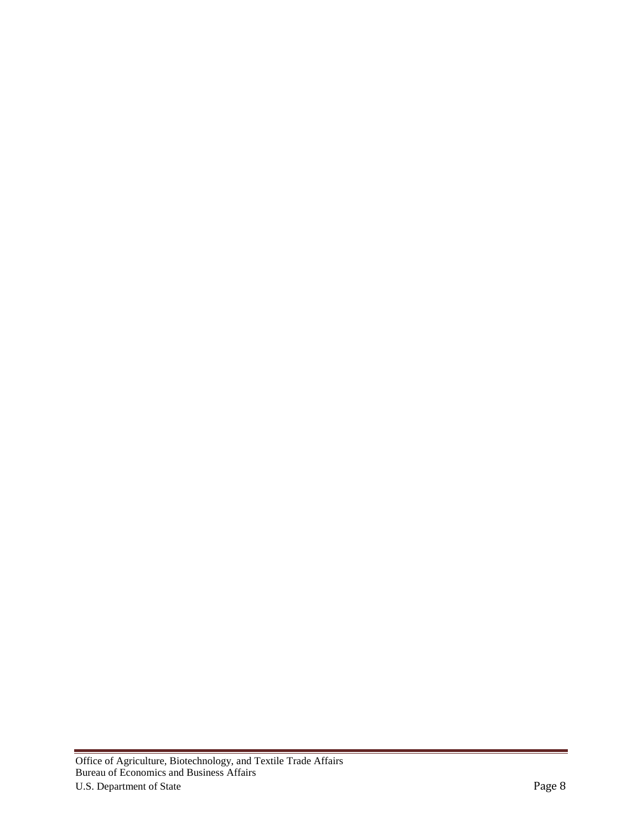e.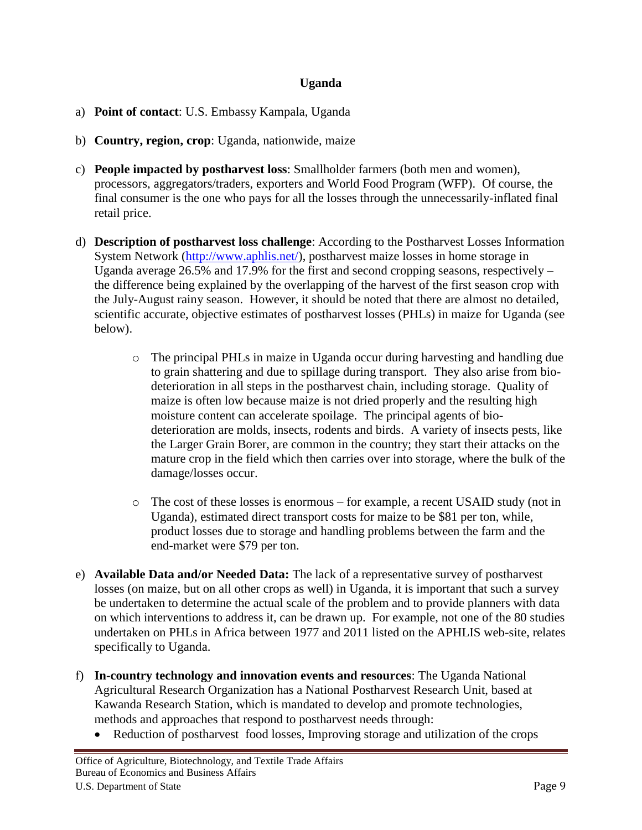## **Uganda**

- a) **Point of contact**: U.S. Embassy Kampala, Uganda
- b) **Country, region, crop**: Uganda, nationwide, maize
- c) **People impacted by postharvest loss**: Smallholder farmers (both men and women), processors, aggregators/traders, exporters and World Food Program (WFP). Of course, the final consumer is the one who pays for all the losses through the unnecessarily-inflated final retail price.
- d) **Description of postharvest loss challenge**: According to the Postharvest Losses Information System Network [\(http://www.aphlis.net/\)](http://www.aphlis.net/), postharvest maize losses in home storage in Uganda average 26.5% and 17.9% for the first and second cropping seasons, respectively – the difference being explained by the overlapping of the harvest of the first season crop with the July-August rainy season. However, it should be noted that there are almost no detailed, scientific accurate, objective estimates of postharvest losses (PHLs) in maize for Uganda (see below).
	- o The principal PHLs in maize in Uganda occur during harvesting and handling due to grain shattering and due to spillage during transport. They also arise from biodeterioration in all steps in the postharvest chain, including storage. Quality of maize is often low because maize is not dried properly and the resulting high moisture content can accelerate spoilage. The principal agents of biodeterioration are molds, insects, rodents and birds. A variety of insects pests, like the Larger Grain Borer, are common in the country; they start their attacks on the mature crop in the field which then carries over into storage, where the bulk of the damage/losses occur.
	- $\circ$  The cost of these losses is enormous for example, a recent USAID study (not in Uganda), estimated direct transport costs for maize to be \$81 per ton, while, product losses due to storage and handling problems between the farm and the end-market were \$79 per ton.
- e) **Available Data and/or Needed Data:** The lack of a representative survey of postharvest losses (on maize, but on all other crops as well) in Uganda, it is important that such a survey be undertaken to determine the actual scale of the problem and to provide planners with data on which interventions to address it, can be drawn up. For example, not one of the 80 studies undertaken on PHLs in Africa between 1977 and 2011 listed on the APHLIS web-site, relates specifically to Uganda.
- f) **In-country technology and innovation events and resources**: The Uganda National Agricultural Research Organization has a National Postharvest Research Unit, based at Kawanda Research Station, which is mandated to develop and promote technologies, methods and approaches that respond to postharvest needs through:
	- Reduction of postharvest food losses, Improving storage and utilization of the crops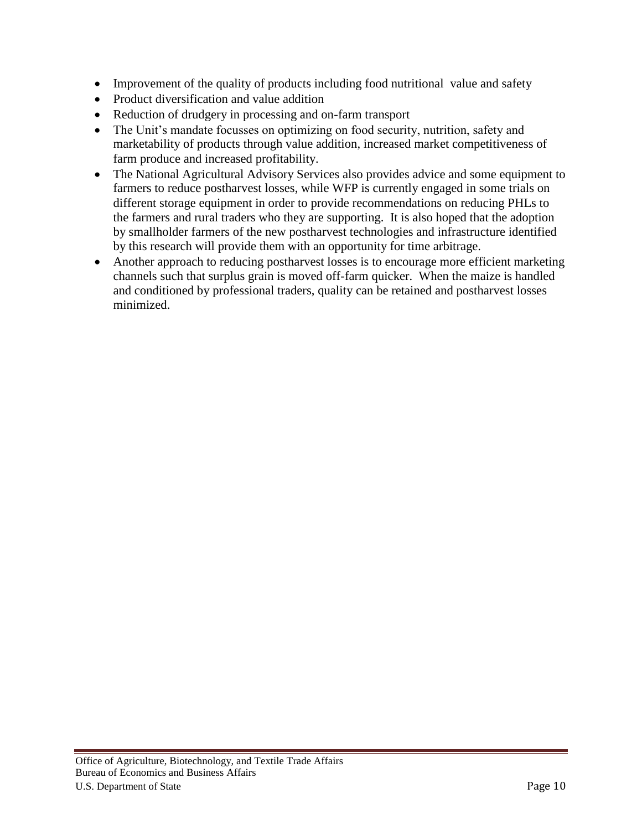- Improvement of the quality of products including food nutritional value and safety
- Product diversification and value addition
- Reduction of drudgery in processing and on-farm transport
- The Unit's mandate focusses on optimizing on food security, nutrition, safety and marketability of products through value addition, increased market competitiveness of farm produce and increased profitability.
- The National Agricultural Advisory Services also provides advice and some equipment to farmers to reduce postharvest losses, while WFP is currently engaged in some trials on different storage equipment in order to provide recommendations on reducing PHLs to the farmers and rural traders who they are supporting. It is also hoped that the adoption by smallholder farmers of the new postharvest technologies and infrastructure identified by this research will provide them with an opportunity for time arbitrage.
- Another approach to reducing postharvest losses is to encourage more efficient marketing channels such that surplus grain is moved off-farm quicker. When the maize is handled and conditioned by professional traders, quality can be retained and postharvest losses minimized.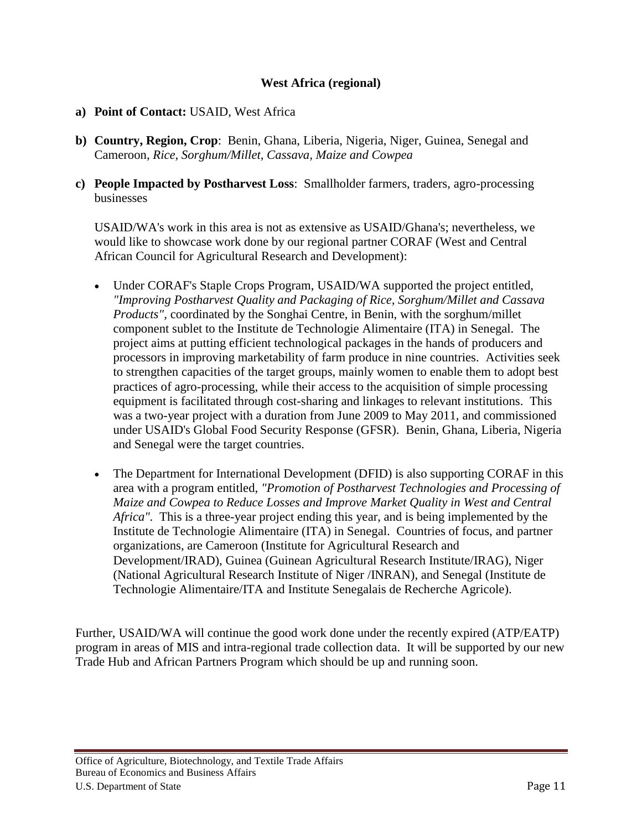## **West Africa (regional)**

## **a) Point of Contact:** USAID, West Africa

- **b) Country, Region, Crop**: Benin, Ghana, Liberia, Nigeria, Niger, Guinea, Senegal and Cameroon, *Rice, Sorghum/Millet, Cassava, Maize and Cowpea*
- **c) People Impacted by Postharvest Loss**: Smallholder farmers, traders, agro-processing businesses

USAID/WA's work in this area is not as extensive as USAID/Ghana's; nevertheless, we would like to showcase work done by our regional partner CORAF (West and Central African Council for Agricultural Research and Development):

- Under CORAF's Staple Crops Program, USAID/WA supported the project entitled, *"Improving Postharvest Quality and Packaging of Rice, Sorghum/Millet and Cassava Products",* coordinated by the Songhai Centre, in Benin, with the sorghum/millet component sublet to the Institute de Technologie Alimentaire (ITA) in Senegal. The project aims at putting efficient technological packages in the hands of producers and processors in improving marketability of farm produce in nine countries. Activities seek to strengthen capacities of the target groups, mainly women to enable them to adopt best practices of agro-processing, while their access to the acquisition of simple processing equipment is facilitated through cost-sharing and linkages to relevant institutions. This was a two-year project with a duration from June 2009 to May 2011, and commissioned under USAID's Global Food Security Response (GFSR). Benin, Ghana, Liberia, Nigeria and Senegal were the target countries.
- The Department for International Development (DFID) is also supporting CORAF in this area with a program entitled, *"Promotion of Postharvest Technologies and Processing of Maize and Cowpea to Reduce Losses and Improve Market Quality in West and Central Africa".* This is a three-year project ending this year, and is being implemented by the Institute de Technologie Alimentaire (ITA) in Senegal. Countries of focus, and partner organizations, are Cameroon (Institute for Agricultural Research and Development/IRAD), Guinea (Guinean Agricultural Research Institute/IRAG), Niger (National Agricultural Research Institute of Niger /INRAN), and Senegal (Institute de Technologie Alimentaire/ITA and Institute Senegalais de Recherche Agricole).

Further, USAID/WA will continue the good work done under the recently expired (ATP/EATP) program in areas of MIS and intra-regional trade collection data. It will be supported by our new Trade Hub and African Partners Program which should be up and running soon.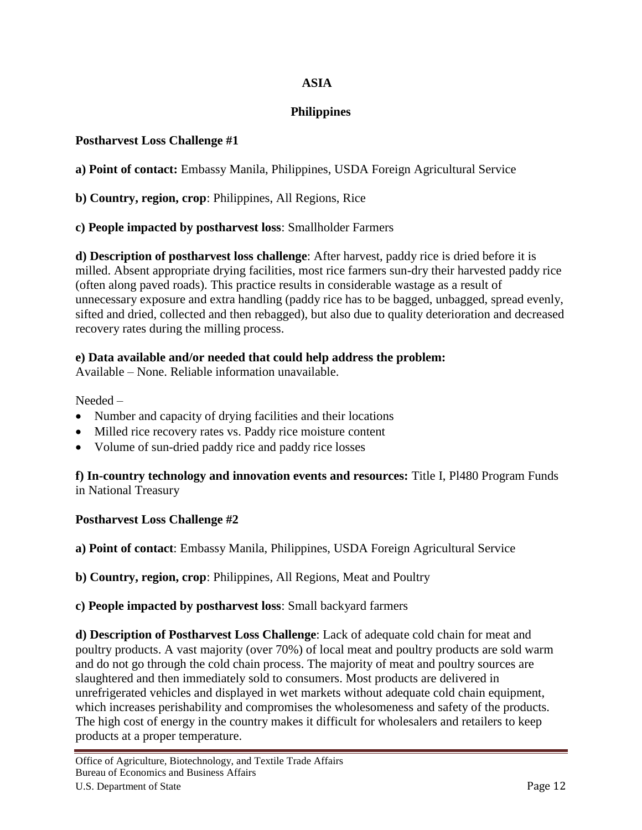# **ASIA**

# **Philippines**

# **Postharvest Loss Challenge #1**

**a) Point of contact:** Embassy Manila, Philippines, USDA Foreign Agricultural Service

**b) Country, region, crop**: Philippines, All Regions, Rice

# **c) People impacted by postharvest loss**: Smallholder Farmers

**d) Description of postharvest loss challenge**: After harvest, paddy rice is dried before it is milled. Absent appropriate drying facilities, most rice farmers sun-dry their harvested paddy rice (often along paved roads). This practice results in considerable wastage as a result of unnecessary exposure and extra handling (paddy rice has to be bagged, unbagged, spread evenly, sifted and dried, collected and then rebagged), but also due to quality deterioration and decreased recovery rates during the milling process.

# **e) Data available and/or needed that could help address the problem:**

Available – None. Reliable information unavailable.

Needed –

- Number and capacity of drying facilities and their locations
- Milled rice recovery rates vs. Paddy rice moisture content
- Volume of sun-dried paddy rice and paddy rice losses

**f) In-country technology and innovation events and resources:** Title I, Pl480 Program Funds in National Treasury

# **Postharvest Loss Challenge #2**

**a) Point of contact**: Embassy Manila, Philippines, USDA Foreign Agricultural Service

**b) Country, region, crop**: Philippines, All Regions, Meat and Poultry

**c) People impacted by postharvest loss**: Small backyard farmers

**d) Description of Postharvest Loss Challenge**: Lack of adequate cold chain for meat and poultry products. A vast majority (over 70%) of local meat and poultry products are sold warm and do not go through the cold chain process. The majority of meat and poultry sources are slaughtered and then immediately sold to consumers. Most products are delivered in unrefrigerated vehicles and displayed in wet markets without adequate cold chain equipment, which increases perishability and compromises the wholesomeness and safety of the products. The high cost of energy in the country makes it difficult for wholesalers and retailers to keep products at a proper temperature.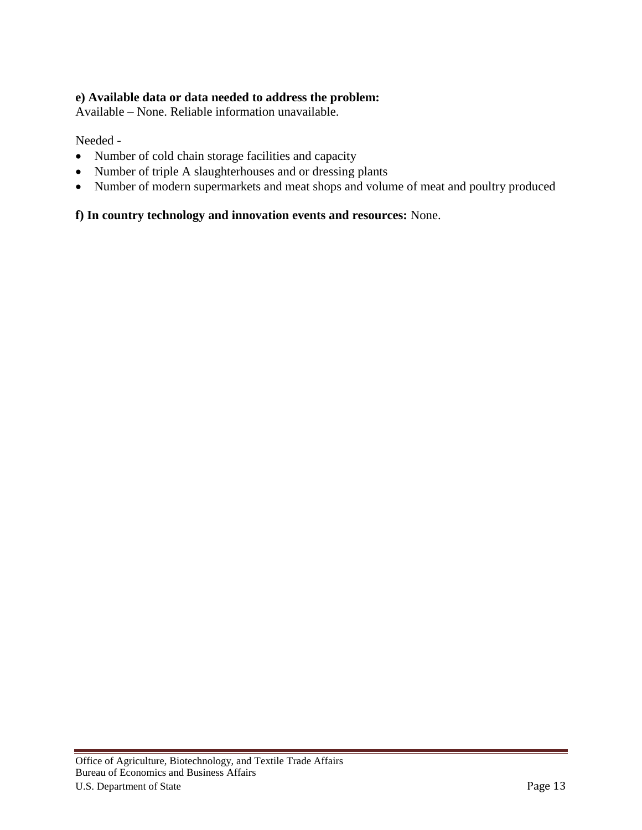## **e) Available data or data needed to address the problem:**

Available – None. Reliable information unavailable.

Needed -

- Number of cold chain storage facilities and capacity
- Number of triple A slaughterhouses and or dressing plants
- Number of modern supermarkets and meat shops and volume of meat and poultry produced

### **f) In country technology and innovation events and resources:** None.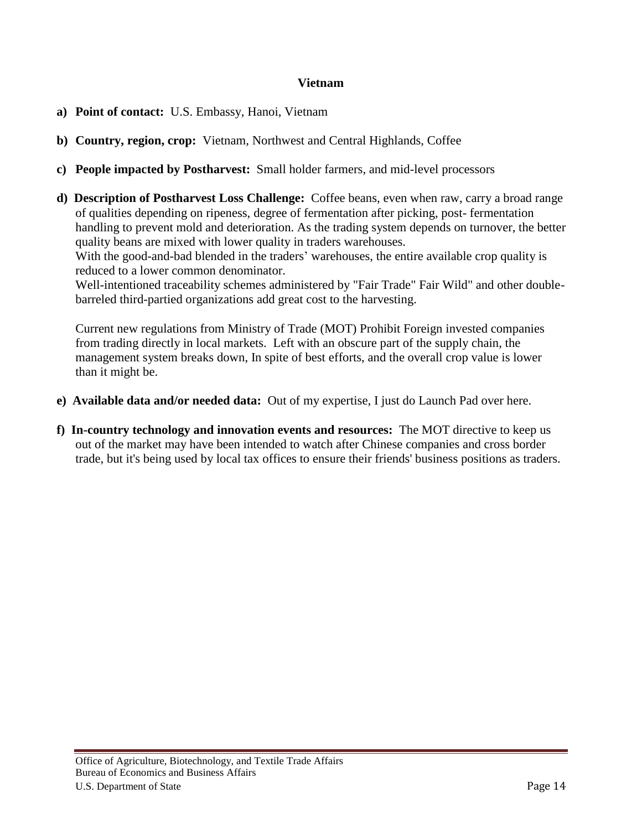### **Vietnam**

- **a) Point of contact:** U.S. Embassy, Hanoi, Vietnam
- **b) Country, region, crop:** Vietnam, Northwest and Central Highlands, Coffee
- **c) People impacted by Postharvest:** Small holder farmers, and mid-level processors
- **d) Description of Postharvest Loss Challenge:** Coffee beans, even when raw, carry a broad range of qualities depending on ripeness, degree of fermentation after picking, post- fermentation handling to prevent mold and deterioration. As the trading system depends on turnover, the better quality beans are mixed with lower quality in traders warehouses.

With the good-and-bad blended in the traders' warehouses, the entire available crop quality is reduced to a lower common denominator.

Well-intentioned traceability schemes administered by "Fair Trade" Fair Wild" and other doublebarreled third-partied organizations add great cost to the harvesting.

Current new regulations from Ministry of Trade (MOT) Prohibit Foreign invested companies from trading directly in local markets. Left with an obscure part of the supply chain, the management system breaks down, In spite of best efforts, and the overall crop value is lower than it might be.

- **e) Available data and/or needed data:** Out of my expertise, I just do Launch Pad over here.
- **f) In-country technology and innovation events and resources:** The MOT directive to keep us out of the market may have been intended to watch after Chinese companies and cross border trade, but it's being used by local tax offices to ensure their friends' business positions as traders.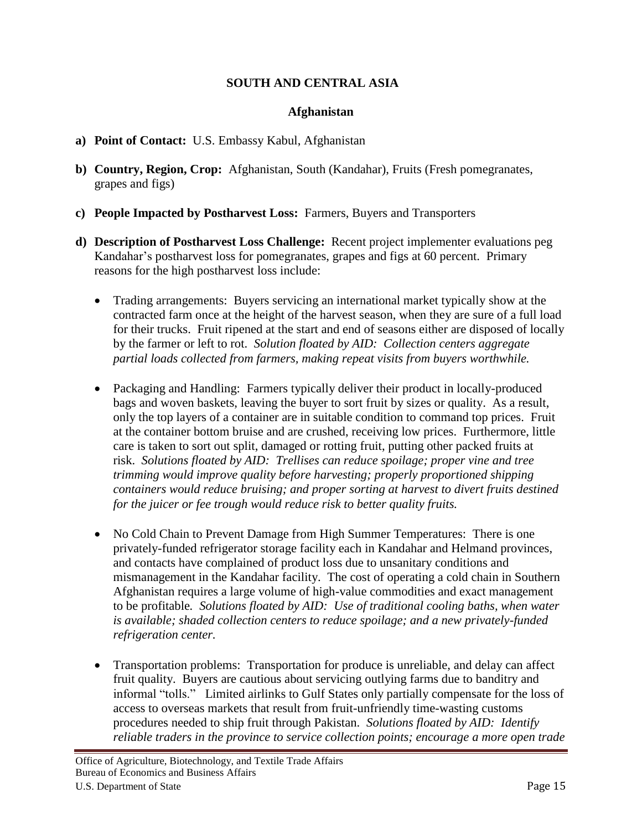## **SOUTH AND CENTRAL ASIA**

## **Afghanistan**

- **a) Point of Contact:** U.S. Embassy Kabul, Afghanistan
- **b) Country, Region, Crop:** Afghanistan, South (Kandahar), Fruits (Fresh pomegranates, grapes and figs)
- **c) People Impacted by Postharvest Loss:** Farmers, Buyers and Transporters
- **d) Description of Postharvest Loss Challenge:** Recent project implementer evaluations peg Kandahar's postharvest loss for pomegranates, grapes and figs at 60 percent. Primary reasons for the high postharvest loss include:
	- Trading arrangements: Buyers servicing an international market typically show at the contracted farm once at the height of the harvest season, when they are sure of a full load for their trucks. Fruit ripened at the start and end of seasons either are disposed of locally by the farmer or left to rot. *Solution floated by AID: Collection centers aggregate partial loads collected from farmers, making repeat visits from buyers worthwhile.*
	- Packaging and Handling: Farmers typically deliver their product in locally-produced bags and woven baskets, leaving the buyer to sort fruit by sizes or quality. As a result, only the top layers of a container are in suitable condition to command top prices. Fruit at the container bottom bruise and are crushed, receiving low prices. Furthermore, little care is taken to sort out split, damaged or rotting fruit, putting other packed fruits at risk. *Solutions floated by AID: Trellises can reduce spoilage; proper vine and tree trimming would improve quality before harvesting; properly proportioned shipping containers would reduce bruising; and proper sorting at harvest to divert fruits destined for the juicer or fee trough would reduce risk to better quality fruits.*
	- No Cold Chain to Prevent Damage from High Summer Temperatures: There is one privately-funded refrigerator storage facility each in Kandahar and Helmand provinces, and contacts have complained of product loss due to unsanitary conditions and mismanagement in the Kandahar facility. The cost of operating a cold chain in Southern Afghanistan requires a large volume of high-value commodities and exact management to be profitable*. Solutions floated by AID: Use of traditional cooling baths, when water is available; shaded collection centers to reduce spoilage; and a new privately-funded refrigeration center.*
	- Transportation problems: Transportation for produce is unreliable, and delay can affect fruit quality. Buyers are cautious about servicing outlying farms due to banditry and informal "tolls." Limited airlinks to Gulf States only partially compensate for the loss of access to overseas markets that result from fruit-unfriendly time-wasting customs procedures needed to ship fruit through Pakistan. *Solutions floated by AID: Identify reliable traders in the province to service collection points; encourage a more open trade*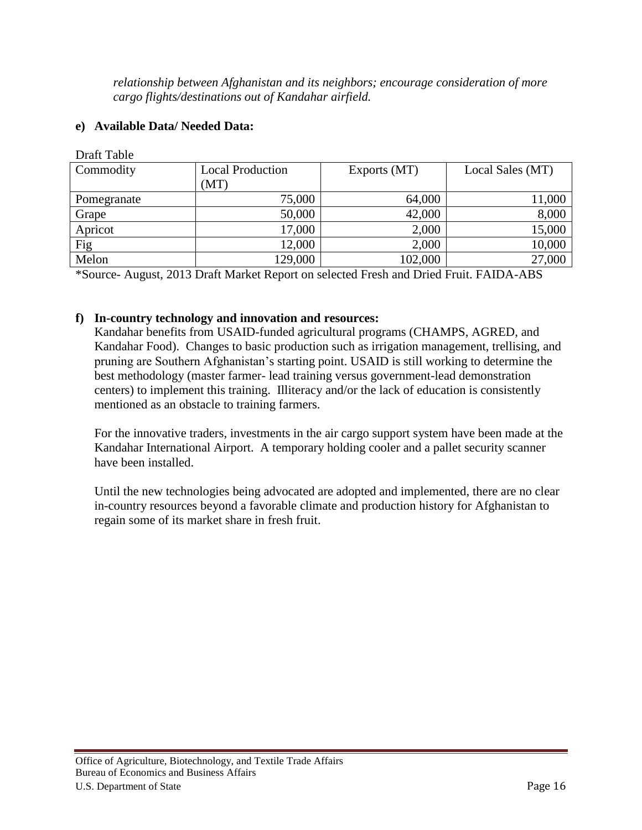*relationship between Afghanistan and its neighbors; encourage consideration of more cargo flights/destinations out of Kandahar airfield.*

| Commodity   | <b>Local Production</b> | Exports (MT) | Local Sales (MT) |  |  |
|-------------|-------------------------|--------------|------------------|--|--|
|             | (MT)                    |              |                  |  |  |
| Pomegranate | 75,000                  | 64,000       | 11,000           |  |  |
| Grape       | 50,000                  | 42,000       | 8,000            |  |  |
| Apricot     | 17,000                  | 2,000        | 15,000           |  |  |
| Fig         | 12,000                  | 2,000        | 10,000           |  |  |
| Melon       | 129,000                 | 102,000      | 27,000           |  |  |

## **e) Available Data/ Needed Data:**

Draft Table

\*Source- August, 2013 Draft Market Report on selected Fresh and Dried Fruit. FAIDA-ABS

**f) In-country technology and innovation and resources:** 

Kandahar benefits from USAID-funded agricultural programs (CHAMPS, AGRED, and Kandahar Food). Changes to basic production such as irrigation management, trellising, and pruning are Southern Afghanistan's starting point. USAID is still working to determine the best methodology (master farmer- lead training versus government-lead demonstration centers) to implement this training. Illiteracy and/or the lack of education is consistently mentioned as an obstacle to training farmers.

For the innovative traders, investments in the air cargo support system have been made at the Kandahar International Airport. A temporary holding cooler and a pallet security scanner have been installed.

Until the new technologies being advocated are adopted and implemented, there are no clear in-country resources beyond a favorable climate and production history for Afghanistan to regain some of its market share in fresh fruit.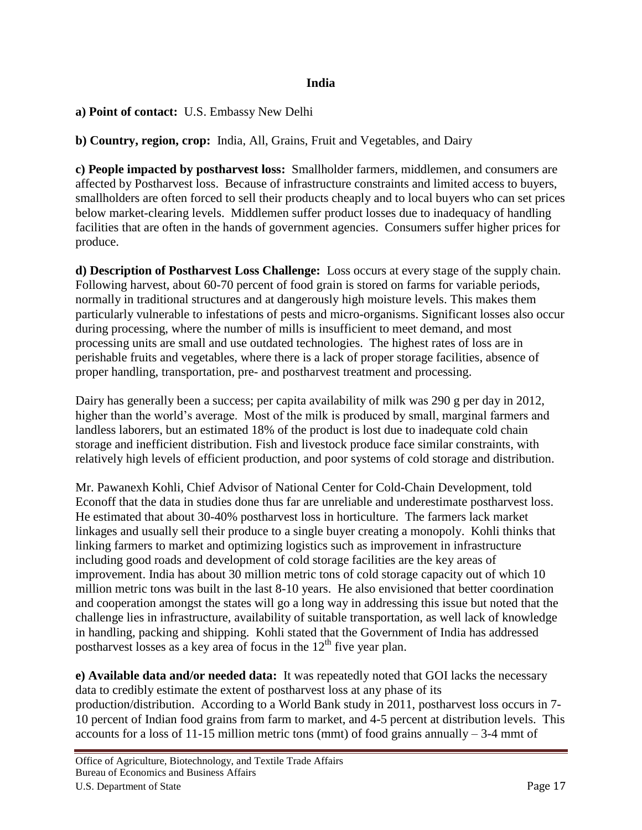## **India**

## **a) Point of contact:** U.S. Embassy New Delhi

**b) Country, region, crop:** India, All, Grains, Fruit and Vegetables, and Dairy

**c) People impacted by postharvest loss:** Smallholder farmers, middlemen, and consumers are affected by Postharvest loss. Because of infrastructure constraints and limited access to buyers, smallholders are often forced to sell their products cheaply and to local buyers who can set prices below market-clearing levels. Middlemen suffer product losses due to inadequacy of handling facilities that are often in the hands of government agencies. Consumers suffer higher prices for produce.

**d) Description of Postharvest Loss Challenge:** Loss occurs at every stage of the supply chain. Following harvest, about 60-70 percent of food grain is stored on farms for variable periods, normally in traditional structures and at dangerously high moisture levels. This makes them particularly vulnerable to infestations of pests and micro-organisms. Significant losses also occur during processing, where the number of mills is insufficient to meet demand, and most processing units are small and use outdated technologies. The highest rates of loss are in perishable fruits and vegetables, where there is a lack of proper storage facilities, absence of proper handling, transportation, pre- and postharvest treatment and processing.

Dairy has generally been a success; per capita availability of milk was 290 g per day in 2012, higher than the world's average. Most of the milk is produced by small, marginal farmers and landless laborers, but an estimated 18% of the product is lost due to inadequate cold chain storage and inefficient distribution. Fish and livestock produce face similar constraints, with relatively high levels of efficient production, and poor systems of cold storage and distribution.

Mr. Pawanexh Kohli, Chief Advisor of National Center for Cold-Chain Development, told Econoff that the data in studies done thus far are unreliable and underestimate postharvest loss. He estimated that about 30-40% postharvest loss in horticulture. The farmers lack market linkages and usually sell their produce to a single buyer creating a monopoly. Kohli thinks that linking farmers to market and optimizing logistics such as improvement in infrastructure including good roads and development of cold storage facilities are the key areas of improvement. India has about 30 million metric tons of cold storage capacity out of which 10 million metric tons was built in the last 8-10 years. He also envisioned that better coordination and cooperation amongst the states will go a long way in addressing this issue but noted that the challenge lies in infrastructure, availability of suitable transportation, as well lack of knowledge in handling, packing and shipping. Kohli stated that the Government of India has addressed postharvest losses as a key area of focus in the  $12<sup>th</sup>$  five year plan.

**e) Available data and/or needed data:** It was repeatedly noted that GOI lacks the necessary data to credibly estimate the extent of postharvest loss at any phase of its production/distribution. According to a World Bank study in 2011, postharvest loss occurs in 7- 10 percent of Indian food grains from farm to market, and 4-5 percent at distribution levels. This accounts for a loss of 11-15 million metric tons (mmt) of food grains annually – 3-4 mmt of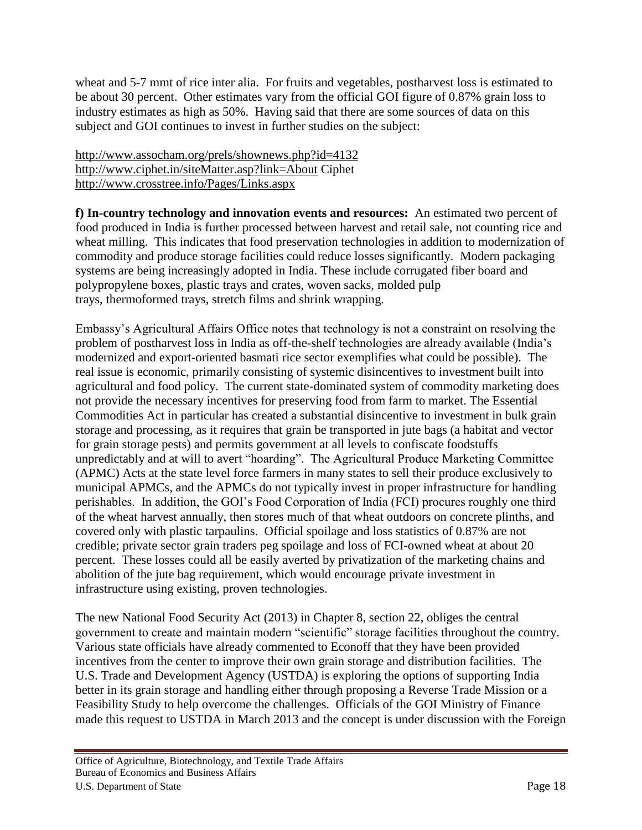wheat and 5-7 mmt of rice inter alia. For fruits and vegetables, postharvest loss is estimated to be about 30 percent. Other estimates vary from the official GOI figure of 0.87% grain loss to industry estimates as high as 50%. Having said that there are some sources of data on this subject and GOI continues to invest in further studies on the subject:

<http://www.assocham.org/prels/shownews.php?id=4132> <http://www.ciphet.in/siteMatter.asp?link=About> Ciphet <http://www.crosstree.info/Pages/Links.aspx>

**f) In-country technology and innovation events and resources:** An estimated two percent of food produced in India is further processed between harvest and retail sale, not counting rice and wheat milling. This indicates that food preservation technologies in addition to modernization of commodity and produce storage facilities could reduce losses significantly. Modern packaging systems are being increasingly adopted in India. These include corrugated fiber board and polypropylene boxes, plastic trays and crates, woven sacks, molded pulp trays, thermoformed trays, stretch films and shrink wrapping.

Embassy's Agricultural Affairs Office notes that technology is not a constraint on resolving the problem of postharvest loss in India as off-the-shelf technologies are already available (India's modernized and export-oriented basmati rice sector exemplifies what could be possible). The real issue is economic, primarily consisting of systemic disincentives to investment built into agricultural and food policy. The current state-dominated system of commodity marketing does not provide the necessary incentives for preserving food from farm to market. The Essential Commodities Act in particular has created a substantial disincentive to investment in bulk grain storage and processing, as it requires that grain be transported in jute bags (a habitat and vector for grain storage pests) and permits government at all levels to confiscate foodstuffs unpredictably and at will to avert "hoarding". The Agricultural Produce Marketing Committee (APMC) Acts at the state level force farmers in many states to sell their produce exclusively to municipal APMCs, and the APMCs do not typically invest in proper infrastructure for handling perishables. In addition, the GOI's Food Corporation of India (FCI) procures roughly one third of the wheat harvest annually, then stores much of that wheat outdoors on concrete plinths, and covered only with plastic tarpaulins. Official spoilage and loss statistics of 0.87% are not credible; private sector grain traders peg spoilage and loss of FCI-owned wheat at about 20 percent. These losses could all be easily averted by privatization of the marketing chains and abolition of the jute bag requirement, which would encourage private investment in infrastructure using existing, proven technologies.

The new National Food Security Act (2013) in Chapter 8, section 22, obliges the central government to create and maintain modern "scientific" storage facilities throughout the country. Various state officials have already commented to Econoff that they have been provided incentives from the center to improve their own grain storage and distribution facilities. The U.S. Trade and Development Agency (USTDA) is exploring the options of supporting India better in its grain storage and handling either through proposing a Reverse Trade Mission or a Feasibility Study to help overcome the challenges. Officials of the GOI Ministry of Finance made this request to USTDA in March 2013 and the concept is under discussion with the Foreign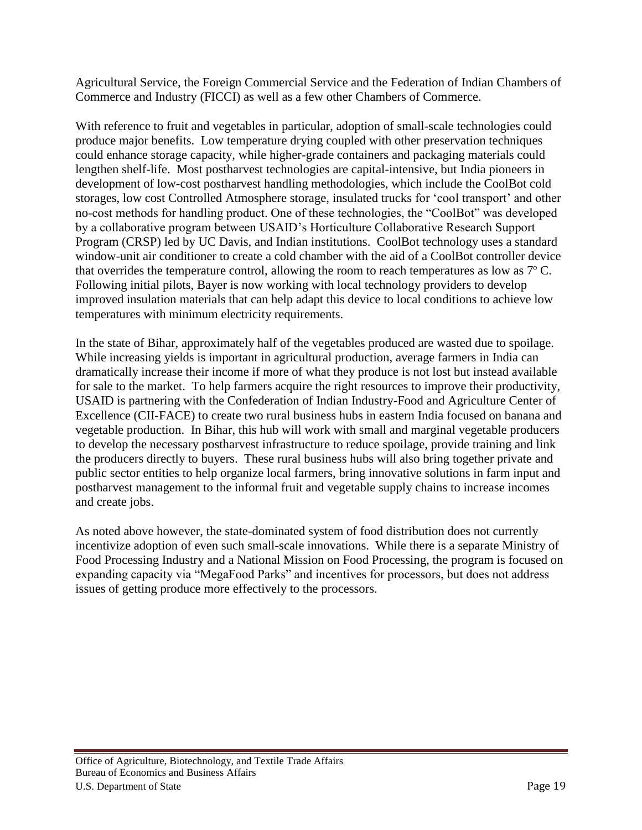Agricultural Service, the Foreign Commercial Service and the Federation of Indian Chambers of Commerce and Industry (FICCI) as well as a few other Chambers of Commerce.

With reference to fruit and vegetables in particular, adoption of small-scale technologies could produce major benefits. Low temperature drying coupled with other preservation techniques could enhance storage capacity, while higher-grade containers and packaging materials could lengthen shelf-life. Most postharvest technologies are capital-intensive, but India pioneers in development of low-cost postharvest handling methodologies, which include the CoolBot cold storages, low cost Controlled Atmosphere storage, insulated trucks for 'cool transport' and other no-cost methods for handling product. One of these technologies, the "CoolBot" was developed by a collaborative program between USAID's Horticulture Collaborative Research Support Program (CRSP) led by UC Davis, and Indian institutions. CoolBot technology uses a standard window-unit air conditioner to create a cold chamber with the aid of a CoolBot controller device that overrides the temperature control, allowing the room to reach temperatures as low as 7º C. Following initial pilots, Bayer is now working with local technology providers to develop improved insulation materials that can help adapt this device to local conditions to achieve low temperatures with minimum electricity requirements.

In the state of Bihar, approximately half of the vegetables produced are wasted due to spoilage. While increasing yields is important in agricultural production, average farmers in India can dramatically increase their income if more of what they produce is not lost but instead available for sale to the market. To help farmers acquire the right resources to improve their productivity, USAID is partnering with the Confederation of Indian Industry-Food and Agriculture Center of Excellence (CII-FACE) to create two rural business hubs in eastern India focused on banana and vegetable production. In Bihar, this hub will work with small and marginal vegetable producers to develop the necessary postharvest infrastructure to reduce spoilage, provide training and link the producers directly to buyers. These rural business hubs will also bring together private and public sector entities to help organize local farmers, bring innovative solutions in farm input and postharvest management to the informal fruit and vegetable supply chains to increase incomes and create jobs.

As noted above however, the state-dominated system of food distribution does not currently incentivize adoption of even such small-scale innovations. While there is a separate Ministry of Food Processing Industry and a National Mission on Food Processing, the program is focused on expanding capacity via "MegaFood Parks" and incentives for processors, but does not address issues of getting produce more effectively to the processors.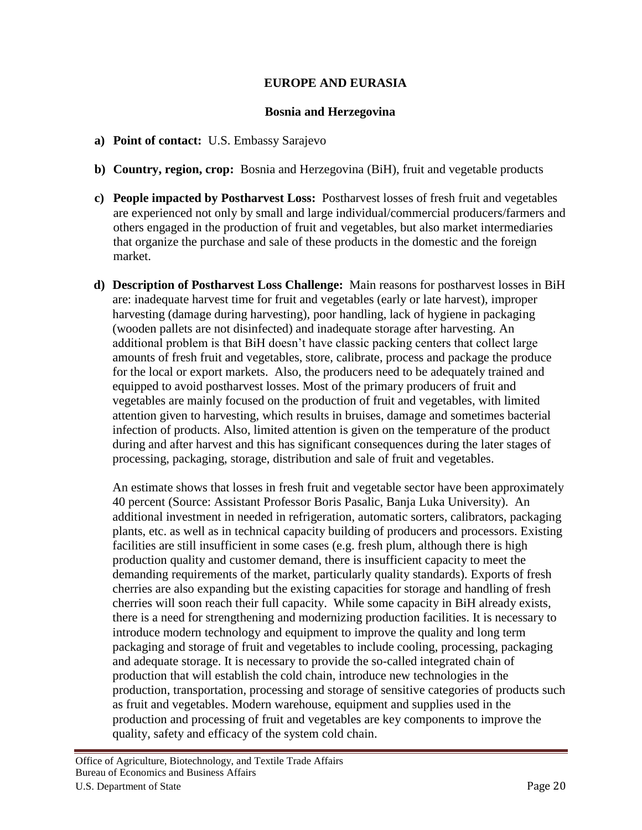## **EUROPE AND EURASIA**

### **Bosnia and Herzegovina**

- **a) Point of contact:** U.S. Embassy Sarajevo
- **b) Country, region, crop:** Bosnia and Herzegovina (BiH), fruit and vegetable products
- **c) People impacted by Postharvest Loss:** Postharvest losses of fresh fruit and vegetables are experienced not only by small and large individual/commercial producers/farmers and others engaged in the production of fruit and vegetables, but also market intermediaries that organize the purchase and sale of these products in the domestic and the foreign market.
- **d) Description of Postharvest Loss Challenge:** Main reasons for postharvest losses in BiH are: inadequate harvest time for fruit and vegetables (early or late harvest), improper harvesting (damage during harvesting), poor handling, lack of hygiene in packaging (wooden pallets are not disinfected) and inadequate storage after harvesting. An additional problem is that BiH doesn't have classic packing centers that collect large amounts of fresh fruit and vegetables, store, calibrate, process and package the produce for the local or export markets. Also, the producers need to be adequately trained and equipped to avoid postharvest losses. Most of the primary producers of fruit and vegetables are mainly focused on the production of fruit and vegetables, with limited attention given to harvesting, which results in bruises, damage and sometimes bacterial infection of products. Also, limited attention is given on the temperature of the product during and after harvest and this has significant consequences during the later stages of processing, packaging, storage, distribution and sale of fruit and vegetables.

An estimate shows that losses in fresh fruit and vegetable sector have been approximately 40 percent (Source: Assistant Professor Boris Pasalic, Banja Luka University). An additional investment in needed in refrigeration, automatic sorters, calibrators, packaging plants, etc. as well as in technical capacity building of producers and processors. Existing facilities are still insufficient in some cases (e.g. fresh plum, although there is high production quality and customer demand, there is insufficient capacity to meet the demanding requirements of the market, particularly quality standards). Exports of fresh cherries are also expanding but the existing capacities for storage and handling of fresh cherries will soon reach their full capacity. While some capacity in BiH already exists, there is a need for strengthening and modernizing production facilities. It is necessary to introduce modern technology and equipment to improve the quality and long term packaging and storage of fruit and vegetables to include cooling, processing, packaging and adequate storage. It is necessary to provide the so-called integrated chain of production that will establish the cold chain, introduce new technologies in the production, transportation, processing and storage of sensitive categories of products such as fruit and vegetables. Modern warehouse, equipment and supplies used in the production and processing of fruit and vegetables are key components to improve the quality, safety and efficacy of the system cold chain.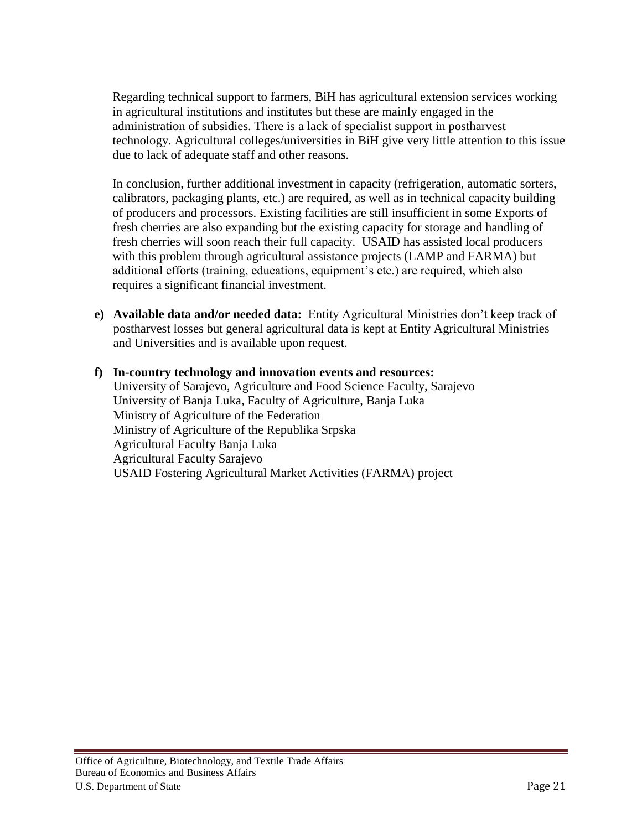Regarding technical support to farmers, BiH has agricultural extension services working in agricultural institutions and institutes but these are mainly engaged in the administration of subsidies. There is a lack of specialist support in postharvest technology. Agricultural colleges/universities in BiH give very little attention to this issue due to lack of adequate staff and other reasons.

In conclusion, further additional investment in capacity (refrigeration, automatic sorters, calibrators, packaging plants, etc.) are required, as well as in technical capacity building of producers and processors. Existing facilities are still insufficient in some Exports of fresh cherries are also expanding but the existing capacity for storage and handling of fresh cherries will soon reach their full capacity. USAID has assisted local producers with this problem through agricultural assistance projects (LAMP and FARMA) but additional efforts (training, educations, equipment's etc.) are required, which also requires a significant financial investment.

- **e) Available data and/or needed data:** Entity Agricultural Ministries don't keep track of postharvest losses but general agricultural data is kept at Entity Agricultural Ministries and Universities and is available upon request.
- **f) In-country technology and innovation events and resources:** University of Sarajevo, Agriculture and Food Science Faculty, Sarajevo University of Banja Luka, Faculty of Agriculture, Banja Luka Ministry of Agriculture of the Federation Ministry of Agriculture of the Republika Srpska Agricultural Faculty Banja Luka Agricultural Faculty Sarajevo USAID Fostering Agricultural Market Activities (FARMA) project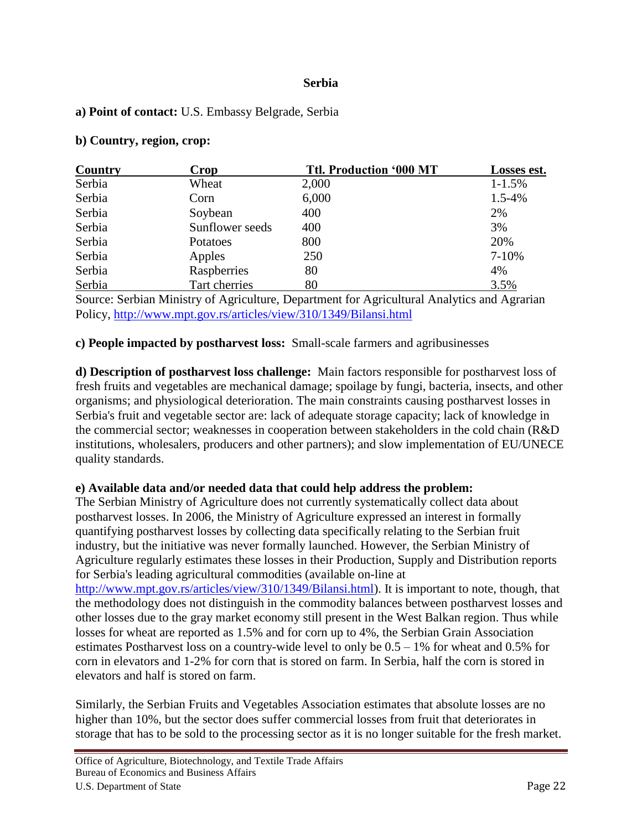### **Serbia**

## **a) Point of contact:** U.S. Embassy Belgrade, Serbia

## **b) Country, region, crop:**

| <b>Country</b> | Crop            | <b>Ttl. Production '000 MT</b> | Losses est. |
|----------------|-----------------|--------------------------------|-------------|
| Serbia         | Wheat           | 2,000                          | $1 - 1.5%$  |
| Serbia         | Corn            | 6,000                          | $1.5 - 4%$  |
| Serbia         | Soybean         | 400                            | 2%          |
| Serbia         | Sunflower seeds | 400                            | 3%          |
| Serbia         | Potatoes        | 800                            | 20%         |
| Serbia         | Apples          | 250                            | $7 - 10%$   |
| Serbia         | Raspberries     | 80                             | 4%          |
| Serbia         | Tart cherries   | 80                             | 3.5%        |

Source: Serbian Ministry of Agriculture, Department for Agricultural Analytics and Agrarian Policy,<http://www.mpt.gov.rs/articles/view/310/1349/Bilansi.html>

### **c) People impacted by postharvest loss:** Small-scale farmers and agribusinesses

**d) Description of postharvest loss challenge:** Main factors responsible for postharvest loss of fresh fruits and vegetables are mechanical damage; spoilage by fungi, bacteria, insects, and other organisms; and physiological deterioration. The main constraints causing postharvest losses in Serbia's fruit and vegetable sector are: lack of adequate storage capacity; lack of knowledge in the commercial sector; weaknesses in cooperation between stakeholders in the cold chain (R&D institutions, wholesalers, producers and other partners); and slow implementation of EU/UNECE quality standards.

## **e) Available data and/or needed data that could help address the problem:**

The Serbian Ministry of Agriculture does not currently systematically collect data about postharvest losses. In 2006, the Ministry of Agriculture expressed an interest in formally quantifying postharvest losses by collecting data specifically relating to the Serbian fruit industry, but the initiative was never formally launched. However, the Serbian Ministry of Agriculture regularly estimates these losses in their Production, Supply and Distribution reports for Serbia's leading agricultural commodities (available on-line at [http://www.mpt.gov.rs/articles/view/310/1349/Bilansi.html\)](http://www.mpt.gov.rs/articles/view/310/1349/Bilansi.html). It is important to note, though, that the methodology does not distinguish in the commodity balances between postharvest losses and other losses due to the gray market economy still present in the West Balkan region. Thus while losses for wheat are reported as 1.5% and for corn up to 4%, the Serbian Grain Association estimates Postharvest loss on a country-wide level to only be  $0.5 - 1\%$  for wheat and  $0.5\%$  for corn in elevators and 1-2% for corn that is stored on farm. In Serbia, half the corn is stored in elevators and half is stored on farm.

Similarly, the Serbian Fruits and Vegetables Association estimates that absolute losses are no higher than 10%, but the sector does suffer commercial losses from fruit that deteriorates in storage that has to be sold to the processing sector as it is no longer suitable for the fresh market.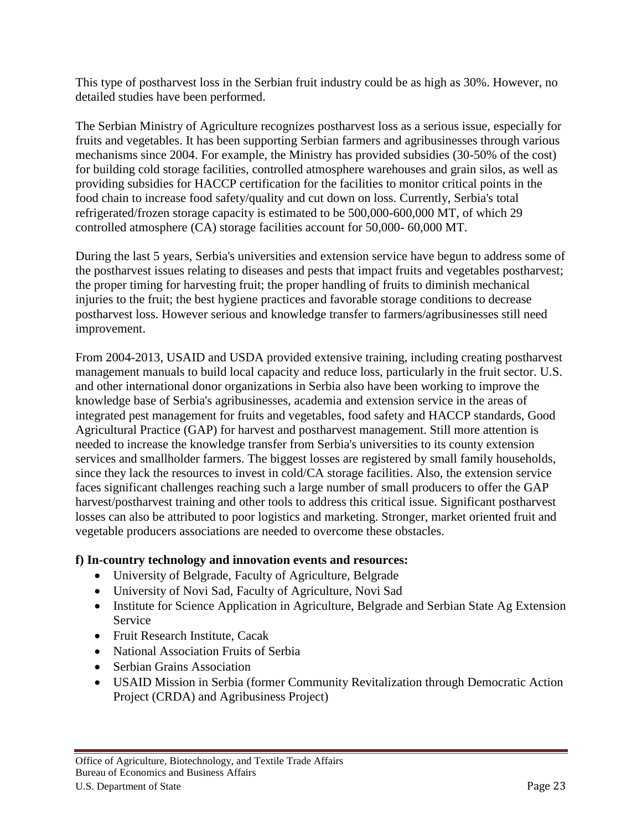This type of postharvest loss in the Serbian fruit industry could be as high as 30%. However, no detailed studies have been performed.

The Serbian Ministry of Agriculture recognizes postharvest loss as a serious issue, especially for fruits and vegetables. It has been supporting Serbian farmers and agribusinesses through various mechanisms since 2004. For example, the Ministry has provided subsidies (30-50% of the cost) for building cold storage facilities, controlled atmosphere warehouses and grain silos, as well as providing subsidies for HACCP certification for the facilities to monitor critical points in the food chain to increase food safety/quality and cut down on loss. Currently, Serbia's total refrigerated/frozen storage capacity is estimated to be 500,000-600,000 MT, of which 29 controlled atmosphere (CA) storage facilities account for 50,000- 60,000 MT.

During the last 5 years, Serbia's universities and extension service have begun to address some of the postharvest issues relating to diseases and pests that impact fruits and vegetables postharvest; the proper timing for harvesting fruit; the proper handling of fruits to diminish mechanical injuries to the fruit; the best hygiene practices and favorable storage conditions to decrease postharvest loss. However serious and knowledge transfer to farmers/agribusinesses still need improvement.

From 2004-2013, USAID and USDA provided extensive training, including creating postharvest management manuals to build local capacity and reduce loss, particularly in the fruit sector. U.S. and other international donor organizations in Serbia also have been working to improve the knowledge base of Serbia's agribusinesses, academia and extension service in the areas of integrated pest management for fruits and vegetables, food safety and HACCP standards, Good Agricultural Practice (GAP) for harvest and postharvest management. Still more attention is needed to increase the knowledge transfer from Serbia's universities to its county extension services and smallholder farmers. The biggest losses are registered by small family households, since they lack the resources to invest in cold/CA storage facilities. Also, the extension service faces significant challenges reaching such a large number of small producers to offer the GAP harvest/postharvest training and other tools to address this critical issue. Significant postharvest losses can also be attributed to poor logistics and marketing. Stronger, market oriented fruit and vegetable producers associations are needed to overcome these obstacles.

## **f) In-country technology and innovation events and resources:**

- University of Belgrade, Faculty of Agriculture, Belgrade
- University of Novi Sad, Faculty of Agriculture, Novi Sad
- Institute for Science Application in Agriculture, Belgrade and Serbian State Ag Extension Service
- Fruit Research Institute, Cacak
- National Association Fruits of Serbia
- Serbian Grains Association
- USAID Mission in Serbia (former Community Revitalization through Democratic Action Project (CRDA) and Agribusiness Project)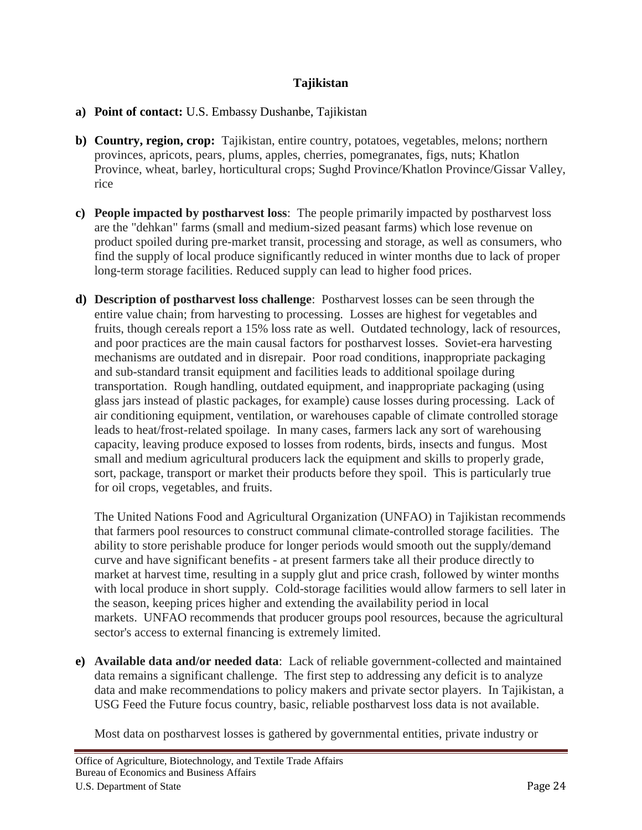## **Tajikistan**

- **a) Point of contact:** U.S. Embassy Dushanbe, Tajikistan
- **b) Country, region, crop:** Tajikistan, entire country, potatoes, vegetables, melons; northern provinces, apricots, pears, plums, apples, cherries, pomegranates, figs, nuts; Khatlon Province, wheat, barley, horticultural crops; Sughd Province/Khatlon Province/Gissar Valley, rice
- **c) People impacted by postharvest loss**: The people primarily impacted by postharvest loss are the "dehkan" farms (small and medium-sized peasant farms) which lose revenue on product spoiled during pre-market transit, processing and storage, as well as consumers, who find the supply of local produce significantly reduced in winter months due to lack of proper long-term storage facilities. Reduced supply can lead to higher food prices.
- **d) Description of postharvest loss challenge**: Postharvest losses can be seen through the entire value chain; from harvesting to processing. Losses are highest for vegetables and fruits, though cereals report a 15% loss rate as well. Outdated technology, lack of resources, and poor practices are the main causal factors for postharvest losses. Soviet-era harvesting mechanisms are outdated and in disrepair. Poor road conditions, inappropriate packaging and sub-standard transit equipment and facilities leads to additional spoilage during transportation. Rough handling, outdated equipment, and inappropriate packaging (using glass jars instead of plastic packages, for example) cause losses during processing. Lack of air conditioning equipment, ventilation, or warehouses capable of climate controlled storage leads to heat/frost-related spoilage. In many cases, farmers lack any sort of warehousing capacity, leaving produce exposed to losses from rodents, birds, insects and fungus. Most small and medium agricultural producers lack the equipment and skills to properly grade, sort, package, transport or market their products before they spoil. This is particularly true for oil crops, vegetables, and fruits.

The United Nations Food and Agricultural Organization (UNFAO) in Tajikistan recommends that farmers pool resources to construct communal climate-controlled storage facilities. The ability to store perishable produce for longer periods would smooth out the supply/demand curve and have significant benefits - at present farmers take all their produce directly to market at harvest time, resulting in a supply glut and price crash, followed by winter months with local produce in short supply. Cold-storage facilities would allow farmers to sell later in the season, keeping prices higher and extending the availability period in local markets. UNFAO recommends that producer groups pool resources, because the agricultural sector's access to external financing is extremely limited.

**e) Available data and/or needed data**: Lack of reliable government-collected and maintained data remains a significant challenge. The first step to addressing any deficit is to analyze data and make recommendations to policy makers and private sector players. In Tajikistan, a USG Feed the Future focus country, basic, reliable postharvest loss data is not available.

Most data on postharvest losses is gathered by governmental entities, private industry or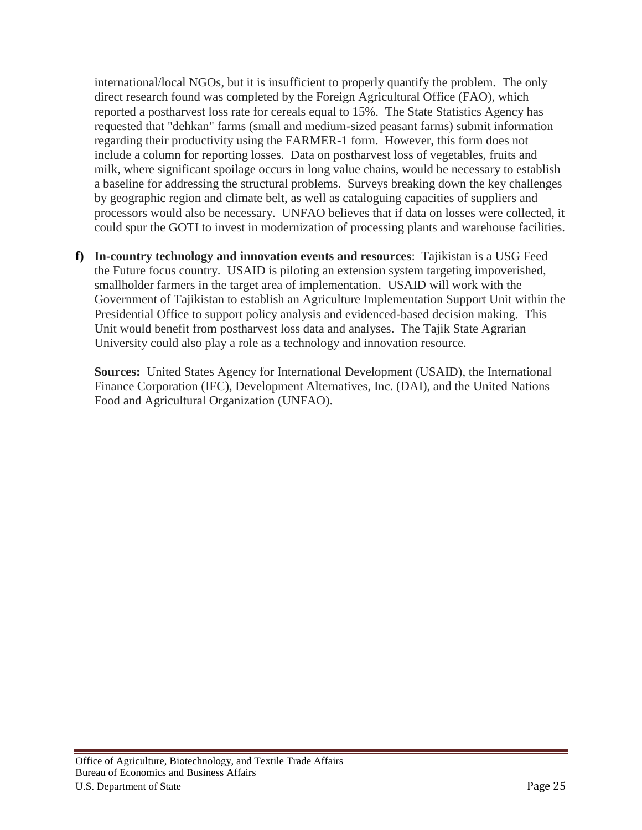international/local NGOs, but it is insufficient to properly quantify the problem. The only direct research found was completed by the Foreign Agricultural Office (FAO), which reported a postharvest loss rate for cereals equal to 15%. The State Statistics Agency has requested that "dehkan" farms (small and medium-sized peasant farms) submit information regarding their productivity using the FARMER-1 form. However, this form does not include a column for reporting losses. Data on postharvest loss of vegetables, fruits and milk, where significant spoilage occurs in long value chains, would be necessary to establish a baseline for addressing the structural problems. Surveys breaking down the key challenges by geographic region and climate belt, as well as cataloguing capacities of suppliers and processors would also be necessary. UNFAO believes that if data on losses were collected, it could spur the GOTI to invest in modernization of processing plants and warehouse facilities.

**f) In-country technology and innovation events and resources**: Tajikistan is a USG Feed the Future focus country. USAID is piloting an extension system targeting impoverished, smallholder farmers in the target area of implementation. USAID will work with the Government of Tajikistan to establish an Agriculture Implementation Support Unit within the Presidential Office to support policy analysis and evidenced-based decision making. This Unit would benefit from postharvest loss data and analyses. The Tajik State Agrarian University could also play a role as a technology and innovation resource.

**Sources:** United States Agency for International Development (USAID), the International Finance Corporation (IFC), Development Alternatives, Inc. (DAI), and the United Nations Food and Agricultural Organization (UNFAO).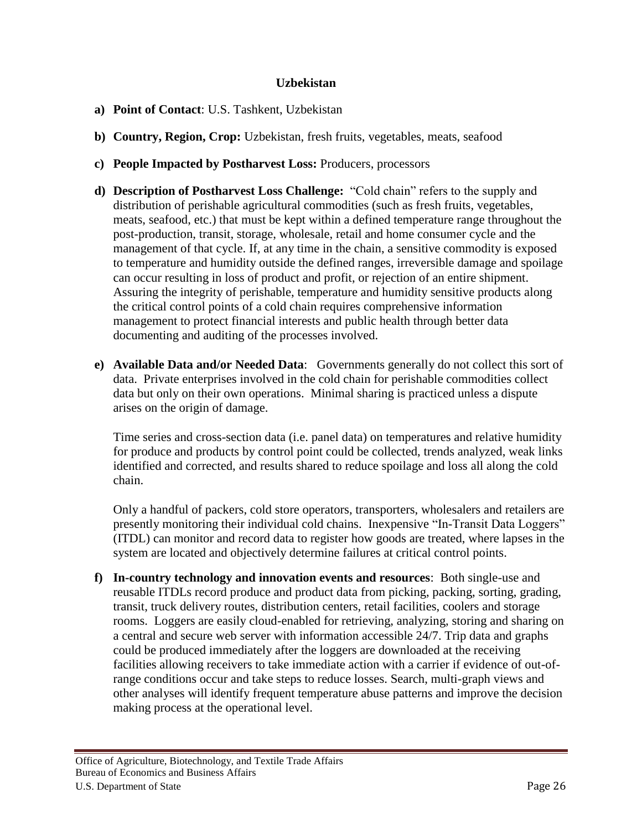### **Uzbekistan**

- **a) Point of Contact**: U.S. Tashkent, Uzbekistan
- **b) Country, Region, Crop:** Uzbekistan, fresh fruits, vegetables, meats, seafood
- **c) People Impacted by Postharvest Loss:** Producers, processors
- **d) Description of Postharvest Loss Challenge:** "Cold chain" refers to the supply and distribution of perishable agricultural commodities (such as fresh fruits, vegetables, meats, seafood, etc.) that must be kept within a defined temperature range throughout the post-production, transit, storage, wholesale, retail and home consumer cycle and the management of that cycle. If, at any time in the chain, a sensitive commodity is exposed to temperature and humidity outside the defined ranges, irreversible damage and spoilage can occur resulting in loss of product and profit, or rejection of an entire shipment. Assuring the integrity of perishable, temperature and humidity sensitive products along the critical control points of a cold chain requires comprehensive information management to protect financial interests and public health through better data documenting and auditing of the processes involved.
- **e) Available Data and/or Needed Data**: Governments generally do not collect this sort of data. Private enterprises involved in the cold chain for perishable commodities collect data but only on their own operations. Minimal sharing is practiced unless a dispute arises on the origin of damage.

Time series and cross-section data (i.e. panel data) on temperatures and relative humidity for produce and products by control point could be collected, trends analyzed, weak links identified and corrected, and results shared to reduce spoilage and loss all along the cold chain.

Only a handful of packers, cold store operators, transporters, wholesalers and retailers are presently monitoring their individual cold chains. Inexpensive "In-Transit Data Loggers" (ITDL) can monitor and record data to register how goods are treated, where lapses in the system are located and objectively determine failures at critical control points.

**f) In-country technology and innovation events and resources**: Both single-use and reusable ITDLs record produce and product data from picking, packing, sorting, grading, transit, truck delivery routes, distribution centers, retail facilities, coolers and storage rooms. Loggers are easily cloud-enabled for retrieving, analyzing, storing and sharing on a central and secure web server with information accessible 24/7. Trip data and graphs could be produced immediately after the loggers are downloaded at the receiving facilities allowing receivers to take immediate action with a carrier if evidence of out-ofrange conditions occur and take steps to reduce losses. Search, multi-graph views and other analyses will identify frequent temperature abuse patterns and improve the decision making process at the operational level.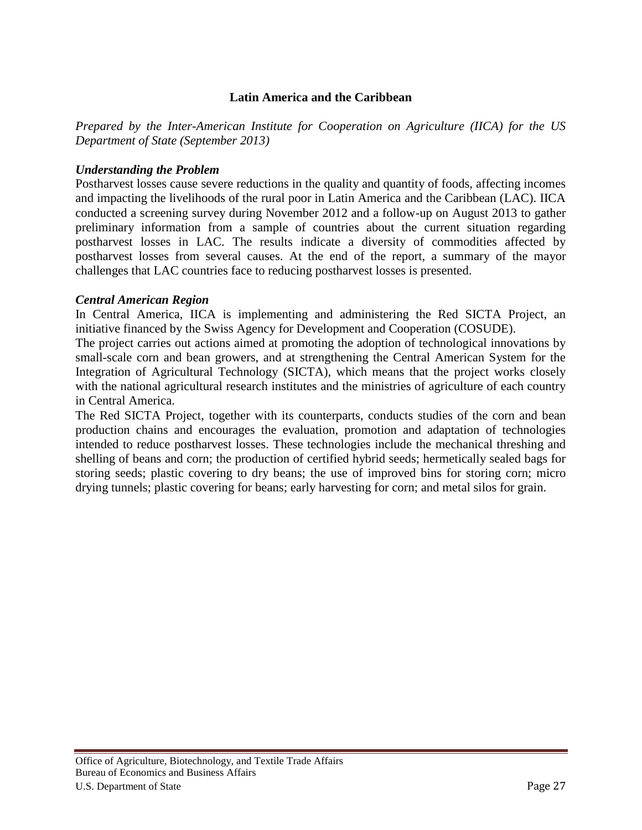### **Latin America and the Caribbean**

*Prepared by the Inter-American Institute for Cooperation on Agriculture (IICA) for the US Department of State (September 2013)*

### *Understanding the Problem*

Postharvest losses cause severe reductions in the quality and quantity of foods, affecting incomes and impacting the livelihoods of the rural poor in Latin America and the Caribbean (LAC). IICA conducted a screening survey during November 2012 and a follow-up on August 2013 to gather preliminary information from a sample of countries about the current situation regarding postharvest losses in LAC. The results indicate a diversity of commodities affected by postharvest losses from several causes. At the end of the report, a summary of the mayor challenges that LAC countries face to reducing postharvest losses is presented.

#### *Central American Region*

In Central America, IICA is implementing and administering the Red SICTA Project, an initiative financed by the Swiss Agency for Development and Cooperation (COSUDE).

The project carries out actions aimed at promoting the adoption of technological innovations by small-scale corn and bean growers, and at strengthening the Central American System for the Integration of Agricultural Technology (SICTA), which means that the project works closely with the national agricultural research institutes and the ministries of agriculture of each country in Central America.

The Red SICTA Project, together with its counterparts, conducts studies of the corn and bean production chains and encourages the evaluation, promotion and adaptation of technologies intended to reduce postharvest losses. These technologies include the mechanical threshing and shelling of beans and corn; the production of certified hybrid seeds; hermetically sealed bags for storing seeds; plastic covering to dry beans; the use of improved bins for storing corn; micro drying tunnels; plastic covering for beans; early harvesting for corn; and metal silos for grain.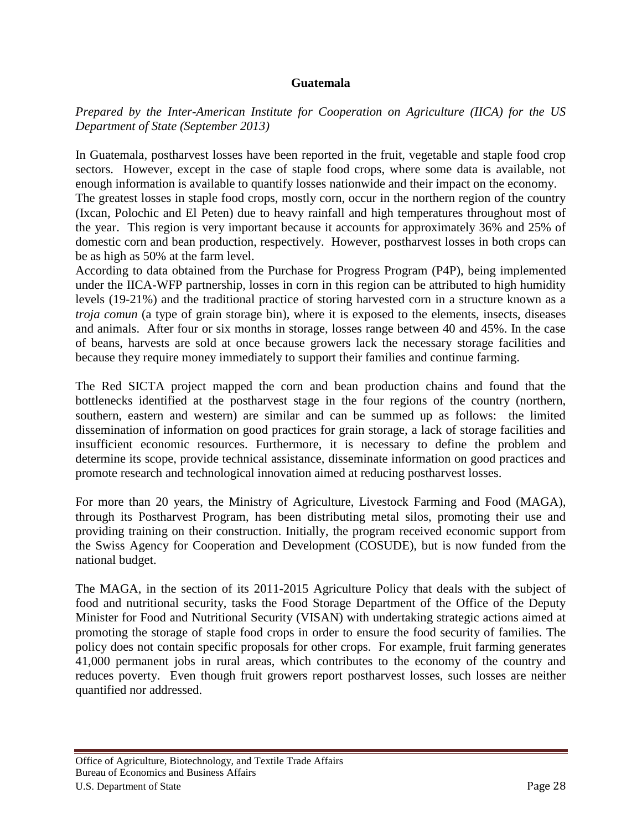### **Guatemala**

*Prepared by the Inter-American Institute for Cooperation on Agriculture (IICA) for the US Department of State (September 2013)*

In Guatemala, postharvest losses have been reported in the fruit, vegetable and staple food crop sectors. However, except in the case of staple food crops, where some data is available, not enough information is available to quantify losses nationwide and their impact on the economy.

The greatest losses in staple food crops, mostly corn, occur in the northern region of the country (Ixcan, Polochic and El Peten) due to heavy rainfall and high temperatures throughout most of the year. This region is very important because it accounts for approximately 36% and 25% of domestic corn and bean production, respectively. However, postharvest losses in both crops can be as high as 50% at the farm level.

According to data obtained from the Purchase for Progress Program (P4P), being implemented under the IICA-WFP partnership, losses in corn in this region can be attributed to high humidity levels (19-21%) and the traditional practice of storing harvested corn in a structure known as a *troja comun* (a type of grain storage bin), where it is exposed to the elements, insects, diseases and animals. After four or six months in storage, losses range between 40 and 45%. In the case of beans, harvests are sold at once because growers lack the necessary storage facilities and because they require money immediately to support their families and continue farming.

The Red SICTA project mapped the corn and bean production chains and found that the bottlenecks identified at the postharvest stage in the four regions of the country (northern, southern, eastern and western) are similar and can be summed up as follows: the limited dissemination of information on good practices for grain storage, a lack of storage facilities and insufficient economic resources. Furthermore, it is necessary to define the problem and determine its scope, provide technical assistance, disseminate information on good practices and promote research and technological innovation aimed at reducing postharvest losses.

For more than 20 years, the Ministry of Agriculture, Livestock Farming and Food (MAGA), through its Postharvest Program, has been distributing metal silos, promoting their use and providing training on their construction. Initially, the program received economic support from the Swiss Agency for Cooperation and Development (COSUDE), but is now funded from the national budget.

The MAGA, in the section of its 2011-2015 Agriculture Policy that deals with the subject of food and nutritional security, tasks the Food Storage Department of the Office of the Deputy Minister for Food and Nutritional Security (VISAN) with undertaking strategic actions aimed at promoting the storage of staple food crops in order to ensure the food security of families. The policy does not contain specific proposals for other crops. For example, fruit farming generates 41,000 permanent jobs in rural areas, which contributes to the economy of the country and reduces poverty. Even though fruit growers report postharvest losses, such losses are neither quantified nor addressed.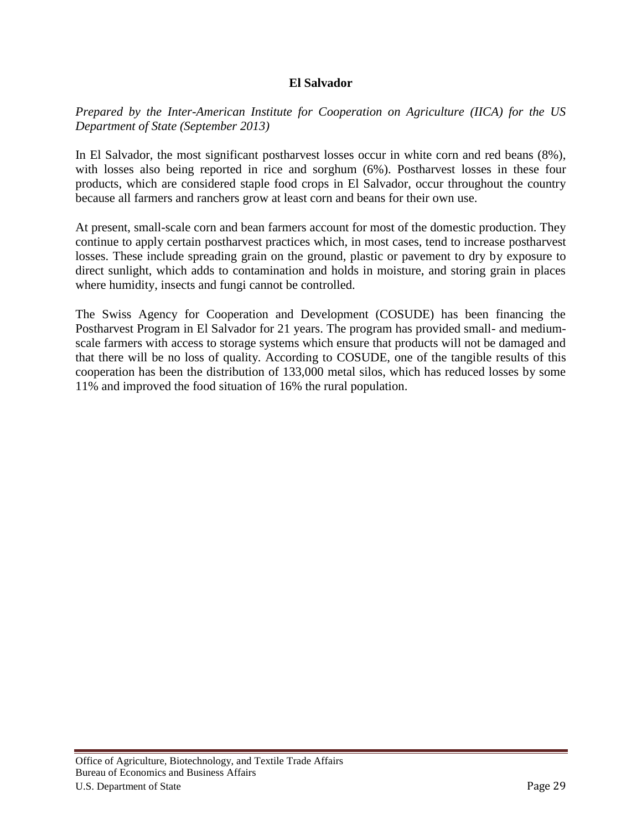## **El Salvador**

*Prepared by the Inter-American Institute for Cooperation on Agriculture (IICA) for the US Department of State (September 2013)*

In El Salvador, the most significant postharvest losses occur in white corn and red beans (8%), with losses also being reported in rice and sorghum (6%). Postharvest losses in these four products, which are considered staple food crops in El Salvador, occur throughout the country because all farmers and ranchers grow at least corn and beans for their own use.

At present, small-scale corn and bean farmers account for most of the domestic production. They continue to apply certain postharvest practices which, in most cases, tend to increase postharvest losses. These include spreading grain on the ground, plastic or pavement to dry by exposure to direct sunlight, which adds to contamination and holds in moisture, and storing grain in places where humidity, insects and fungi cannot be controlled.

The Swiss Agency for Cooperation and Development (COSUDE) has been financing the Postharvest Program in El Salvador for 21 years. The program has provided small- and mediumscale farmers with access to storage systems which ensure that products will not be damaged and that there will be no loss of quality. According to COSUDE, one of the tangible results of this cooperation has been the distribution of 133,000 metal silos, which has reduced losses by some 11% and improved the food situation of 16% the rural population.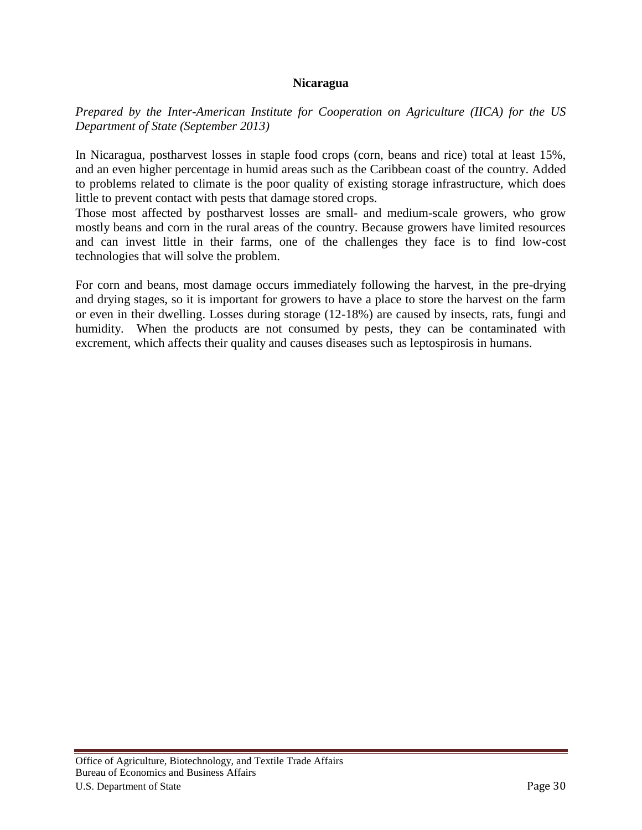### **Nicaragua**

*Prepared by the Inter-American Institute for Cooperation on Agriculture (IICA) for the US Department of State (September 2013)*

In Nicaragua, postharvest losses in staple food crops (corn, beans and rice) total at least 15%, and an even higher percentage in humid areas such as the Caribbean coast of the country. Added to problems related to climate is the poor quality of existing storage infrastructure, which does little to prevent contact with pests that damage stored crops.

Those most affected by postharvest losses are small- and medium-scale growers, who grow mostly beans and corn in the rural areas of the country. Because growers have limited resources and can invest little in their farms, one of the challenges they face is to find low-cost technologies that will solve the problem.

For corn and beans, most damage occurs immediately following the harvest, in the pre-drying and drying stages, so it is important for growers to have a place to store the harvest on the farm or even in their dwelling. Losses during storage (12-18%) are caused by insects, rats, fungi and humidity. When the products are not consumed by pests, they can be contaminated with excrement, which affects their quality and causes diseases such as leptospirosis in humans.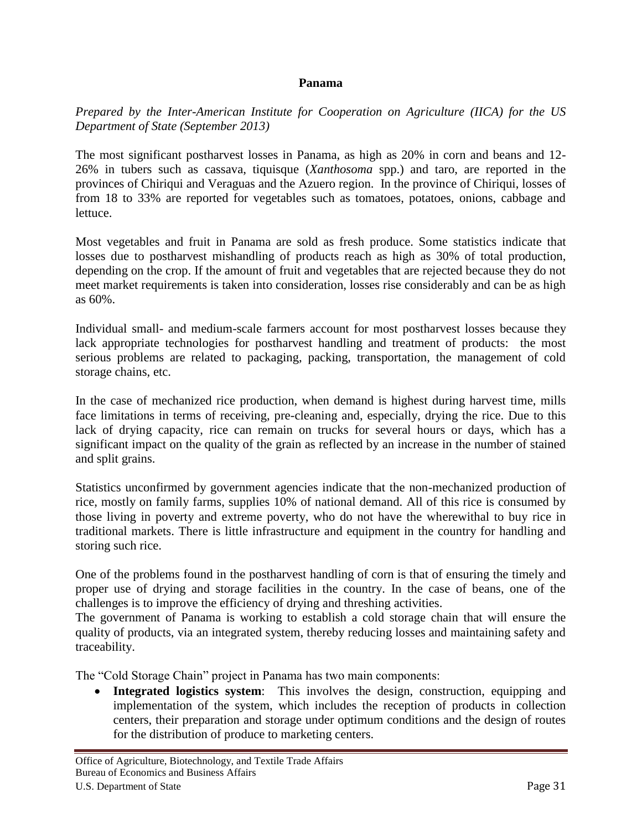### **Panama**

*Prepared by the Inter-American Institute for Cooperation on Agriculture (IICA) for the US Department of State (September 2013)*

The most significant postharvest losses in Panama, as high as 20% in corn and beans and 12- 26% in tubers such as cassava, tiquisque (*Xanthosoma* spp.) and taro, are reported in the provinces of Chiriqui and Veraguas and the Azuero region. In the province of Chiriqui, losses of from 18 to 33% are reported for vegetables such as tomatoes, potatoes, onions, cabbage and lettuce.

Most vegetables and fruit in Panama are sold as fresh produce. Some statistics indicate that losses due to postharvest mishandling of products reach as high as 30% of total production, depending on the crop. If the amount of fruit and vegetables that are rejected because they do not meet market requirements is taken into consideration, losses rise considerably and can be as high as 60%.

Individual small- and medium-scale farmers account for most postharvest losses because they lack appropriate technologies for postharvest handling and treatment of products: the most serious problems are related to packaging, packing, transportation, the management of cold storage chains, etc.

In the case of mechanized rice production, when demand is highest during harvest time, mills face limitations in terms of receiving, pre-cleaning and, especially, drying the rice. Due to this lack of drying capacity, rice can remain on trucks for several hours or days, which has a significant impact on the quality of the grain as reflected by an increase in the number of stained and split grains.

Statistics unconfirmed by government agencies indicate that the non-mechanized production of rice, mostly on family farms, supplies 10% of national demand. All of this rice is consumed by those living in poverty and extreme poverty, who do not have the wherewithal to buy rice in traditional markets. There is little infrastructure and equipment in the country for handling and storing such rice.

One of the problems found in the postharvest handling of corn is that of ensuring the timely and proper use of drying and storage facilities in the country. In the case of beans, one of the challenges is to improve the efficiency of drying and threshing activities.

The government of Panama is working to establish a cold storage chain that will ensure the quality of products, via an integrated system, thereby reducing losses and maintaining safety and traceability.

The "Cold Storage Chain" project in Panama has two main components:

 **Integrated logistics system**: This involves the design, construction, equipping and implementation of the system, which includes the reception of products in collection centers, their preparation and storage under optimum conditions and the design of routes for the distribution of produce to marketing centers.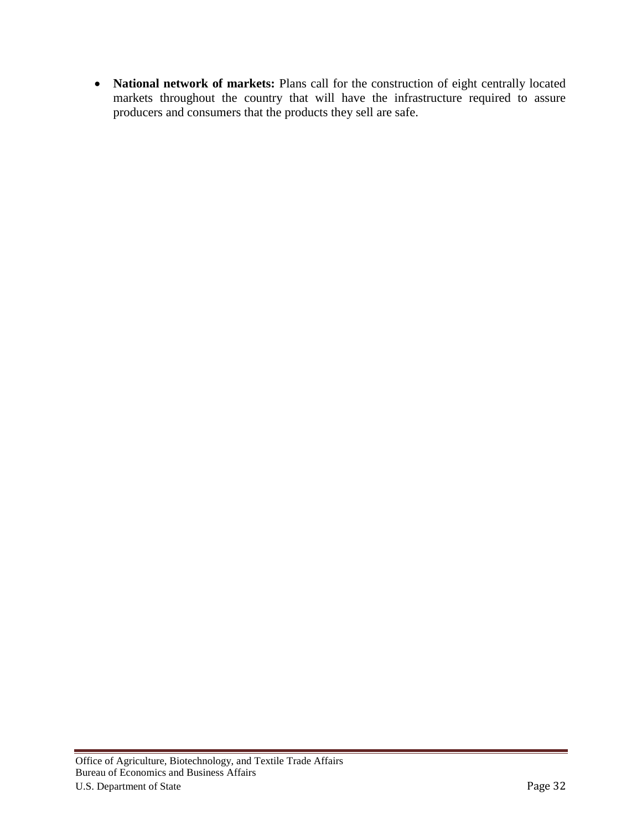**National network of markets:** Plans call for the construction of eight centrally located markets throughout the country that will have the infrastructure required to assure producers and consumers that the products they sell are safe.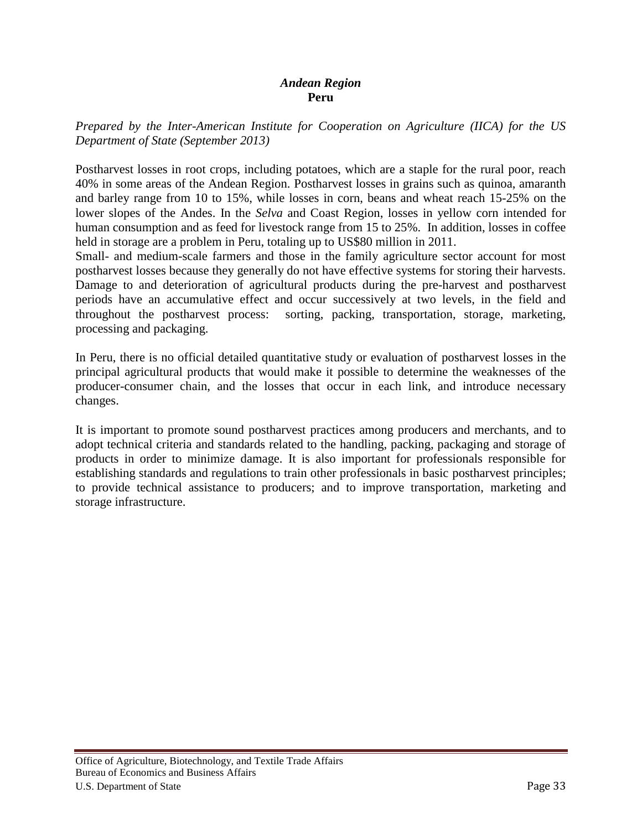### *Andean Region* **Peru**

*Prepared by the Inter-American Institute for Cooperation on Agriculture (IICA) for the US Department of State (September 2013)*

Postharvest losses in root crops, including potatoes, which are a staple for the rural poor, reach 40% in some areas of the Andean Region. Postharvest losses in grains such as quinoa, amaranth and barley range from 10 to 15%, while losses in corn, beans and wheat reach 15-25% on the lower slopes of the Andes. In the *Selva* and Coast Region, losses in yellow corn intended for human consumption and as feed for livestock range from 15 to 25%. In addition, losses in coffee held in storage are a problem in Peru, totaling up to US\$80 million in 2011.

Small- and medium-scale farmers and those in the family agriculture sector account for most postharvest losses because they generally do not have effective systems for storing their harvests. Damage to and deterioration of agricultural products during the pre-harvest and postharvest periods have an accumulative effect and occur successively at two levels, in the field and throughout the postharvest process: sorting, packing, transportation, storage, marketing, processing and packaging.

In Peru, there is no official detailed quantitative study or evaluation of postharvest losses in the principal agricultural products that would make it possible to determine the weaknesses of the producer-consumer chain, and the losses that occur in each link, and introduce necessary changes.

It is important to promote sound postharvest practices among producers and merchants, and to adopt technical criteria and standards related to the handling, packing, packaging and storage of products in order to minimize damage. It is also important for professionals responsible for establishing standards and regulations to train other professionals in basic postharvest principles; to provide technical assistance to producers; and to improve transportation, marketing and storage infrastructure.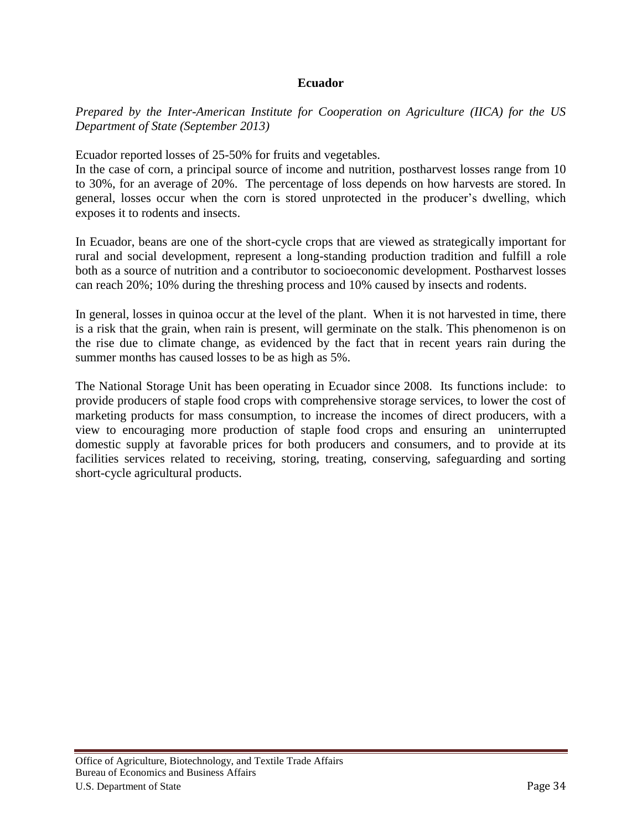### **Ecuador**

*Prepared by the Inter-American Institute for Cooperation on Agriculture (IICA) for the US Department of State (September 2013)*

Ecuador reported losses of 25-50% for fruits and vegetables.

In the case of corn, a principal source of income and nutrition, postharvest losses range from 10 to 30%, for an average of 20%. The percentage of loss depends on how harvests are stored. In general, losses occur when the corn is stored unprotected in the producer's dwelling, which exposes it to rodents and insects.

In Ecuador, beans are one of the short-cycle crops that are viewed as strategically important for rural and social development, represent a long-standing production tradition and fulfill a role both as a source of nutrition and a contributor to socioeconomic development. Postharvest losses can reach 20%; 10% during the threshing process and 10% caused by insects and rodents.

In general, losses in quinoa occur at the level of the plant. When it is not harvested in time, there is a risk that the grain, when rain is present, will germinate on the stalk. This phenomenon is on the rise due to climate change, as evidenced by the fact that in recent years rain during the summer months has caused losses to be as high as 5%.

The National Storage Unit has been operating in Ecuador since 2008. Its functions include: to provide producers of staple food crops with comprehensive storage services, to lower the cost of marketing products for mass consumption, to increase the incomes of direct producers, with a view to encouraging more production of staple food crops and ensuring an uninterrupted domestic supply at favorable prices for both producers and consumers, and to provide at its facilities services related to receiving, storing, treating, conserving, safeguarding and sorting short-cycle agricultural products.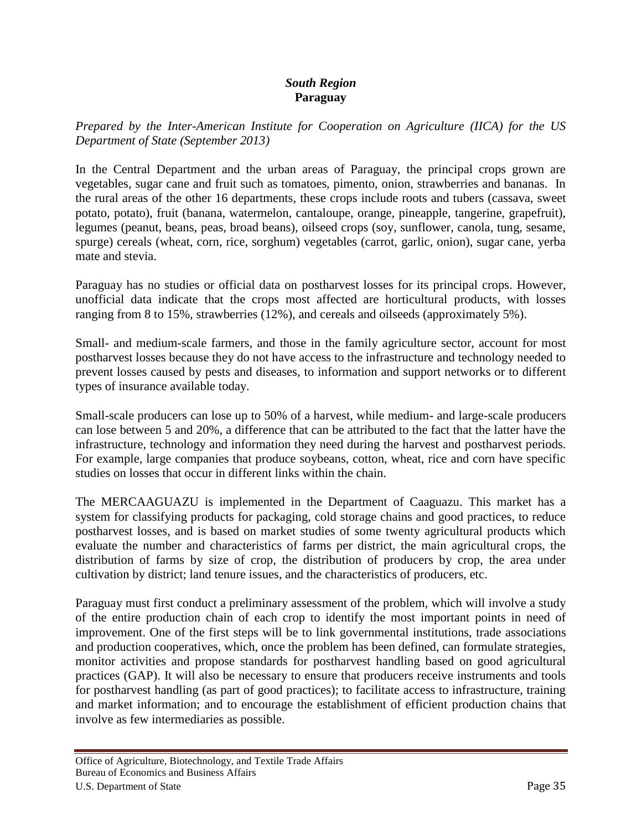## *South Region* **Paraguay**

*Prepared by the Inter-American Institute for Cooperation on Agriculture (IICA) for the US Department of State (September 2013)*

In the Central Department and the urban areas of Paraguay, the principal crops grown are vegetables, sugar cane and fruit such as tomatoes, pimento, onion, strawberries and bananas. In the rural areas of the other 16 departments, these crops include roots and tubers (cassava, sweet potato, potato), fruit (banana, watermelon, cantaloupe, orange, pineapple, tangerine, grapefruit), legumes (peanut, beans, peas, broad beans), oilseed crops (soy, sunflower, canola, tung, sesame, spurge) cereals (wheat, corn, rice, sorghum) vegetables (carrot, garlic, onion), sugar cane, yerba mate and stevia.

Paraguay has no studies or official data on postharvest losses for its principal crops. However, unofficial data indicate that the crops most affected are horticultural products, with losses ranging from 8 to 15%, strawberries (12%), and cereals and oilseeds (approximately 5%).

Small- and medium-scale farmers, and those in the family agriculture sector, account for most postharvest losses because they do not have access to the infrastructure and technology needed to prevent losses caused by pests and diseases, to information and support networks or to different types of insurance available today.

Small-scale producers can lose up to 50% of a harvest, while medium- and large-scale producers can lose between 5 and 20%, a difference that can be attributed to the fact that the latter have the infrastructure, technology and information they need during the harvest and postharvest periods. For example, large companies that produce soybeans, cotton, wheat, rice and corn have specific studies on losses that occur in different links within the chain.

The MERCAAGUAZU is implemented in the Department of Caaguazu. This market has a system for classifying products for packaging, cold storage chains and good practices, to reduce postharvest losses, and is based on market studies of some twenty agricultural products which evaluate the number and characteristics of farms per district, the main agricultural crops, the distribution of farms by size of crop, the distribution of producers by crop, the area under cultivation by district; land tenure issues, and the characteristics of producers, etc.

Paraguay must first conduct a preliminary assessment of the problem, which will involve a study of the entire production chain of each crop to identify the most important points in need of improvement. One of the first steps will be to link governmental institutions, trade associations and production cooperatives, which, once the problem has been defined, can formulate strategies, monitor activities and propose standards for postharvest handling based on good agricultural practices (GAP). It will also be necessary to ensure that producers receive instruments and tools for postharvest handling (as part of good practices); to facilitate access to infrastructure, training and market information; and to encourage the establishment of efficient production chains that involve as few intermediaries as possible.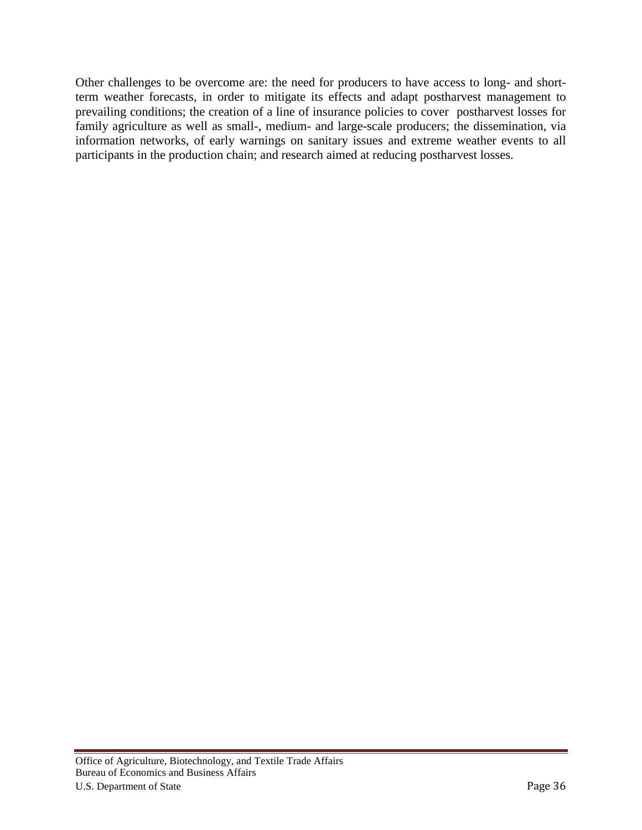Other challenges to be overcome are: the need for producers to have access to long- and shortterm weather forecasts, in order to mitigate its effects and adapt postharvest management to prevailing conditions; the creation of a line of insurance policies to cover postharvest losses for family agriculture as well as small-, medium- and large-scale producers; the dissemination, via information networks, of early warnings on sanitary issues and extreme weather events to all participants in the production chain; and research aimed at reducing postharvest losses.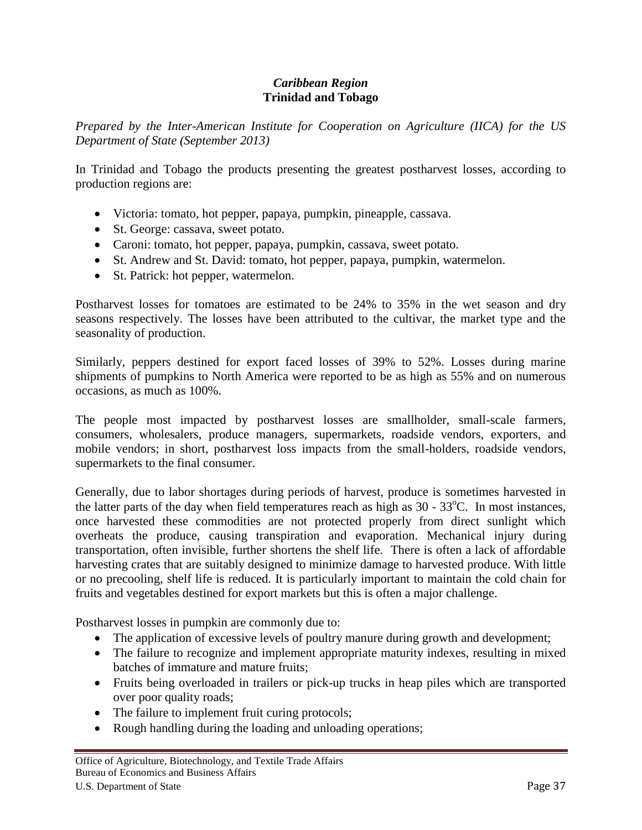## *Caribbean Region* **Trinidad and Tobago**

*Prepared by the Inter-American Institute for Cooperation on Agriculture (IICA) for the US Department of State (September 2013)*

In Trinidad and Tobago the products presenting the greatest postharvest losses, according to production regions are:

- Victoria: tomato, hot pepper, papaya, pumpkin, pineapple, cassava.
- St. George: cassava, sweet potato.
- Caroni: tomato, hot pepper, papaya, pumpkin, cassava, sweet potato.
- St. Andrew and St. David: tomato, hot pepper, papaya, pumpkin, watermelon.
- St. Patrick: hot pepper, watermelon.

Postharvest losses for tomatoes are estimated to be 24% to 35% in the wet season and dry seasons respectively. The losses have been attributed to the cultivar, the market type and the seasonality of production.

Similarly, peppers destined for export faced losses of 39% to 52%. Losses during marine shipments of pumpkins to North America were reported to be as high as 55% and on numerous occasions, as much as 100%.

The people most impacted by postharvest losses are smallholder, small-scale farmers, consumers, wholesalers, produce managers, supermarkets, roadside vendors, exporters, and mobile vendors; in short, postharvest loss impacts from the small-holders, roadside vendors, supermarkets to the final consumer.

Generally, due to labor shortages during periods of harvest, produce is sometimes harvested in the latter parts of the day when field temperatures reach as high as  $30 - 33^{\circ}$ C. In most instances, once harvested these commodities are not protected properly from direct sunlight which overheats the produce, causing transpiration and evaporation. Mechanical injury during transportation, often invisible, further shortens the shelf life. There is often a lack of affordable harvesting crates that are suitably designed to minimize damage to harvested produce. With little or no precooling, shelf life is reduced. It is particularly important to maintain the cold chain for fruits and vegetables destined for export markets but this is often a major challenge.

Postharvest losses in pumpkin are commonly due to:

- The application of excessive levels of poultry manure during growth and development;
- The failure to recognize and implement appropriate maturity indexes, resulting in mixed batches of immature and mature fruits;
- Fruits being overloaded in trailers or pick-up trucks in heap piles which are transported over poor quality roads;
- The failure to implement fruit curing protocols;
- Rough handling during the loading and unloading operations;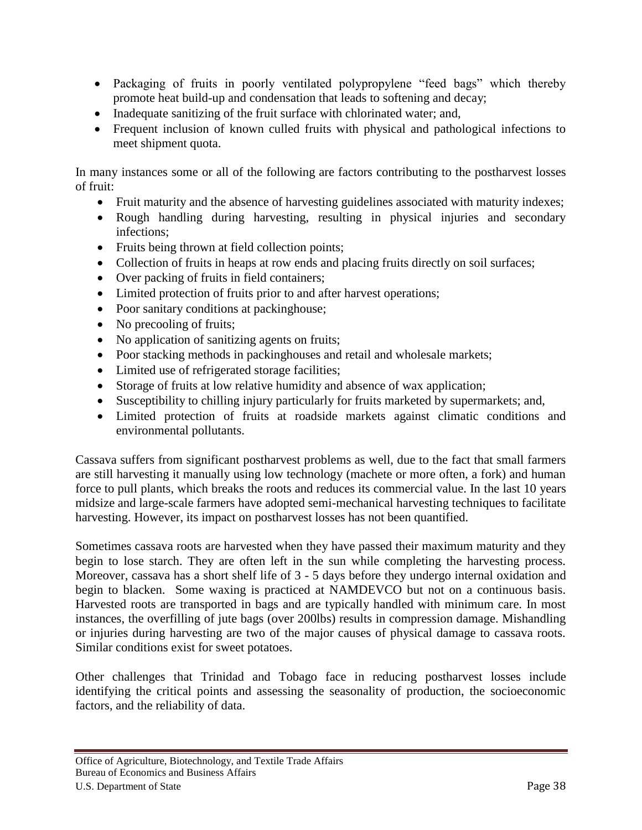- Packaging of fruits in poorly ventilated polypropylene "feed bags" which thereby promote heat build-up and condensation that leads to softening and decay;
- Inadequate sanitizing of the fruit surface with chlorinated water; and,
- Frequent inclusion of known culled fruits with physical and pathological infections to meet shipment quota.

In many instances some or all of the following are factors contributing to the postharvest losses of fruit:

- Fruit maturity and the absence of harvesting guidelines associated with maturity indexes;
- Rough handling during harvesting, resulting in physical injuries and secondary infections;
- Fruits being thrown at field collection points;
- Collection of fruits in heaps at row ends and placing fruits directly on soil surfaces;
- Over packing of fruits in field containers;
- Limited protection of fruits prior to and after harvest operations;
- Poor sanitary conditions at packinghouse;
- No precooling of fruits;
- No application of sanitizing agents on fruits;
- Poor stacking methods in packinghouses and retail and wholesale markets;
- Limited use of refrigerated storage facilities;
- Storage of fruits at low relative humidity and absence of wax application;
- Susceptibility to chilling injury particularly for fruits marketed by supermarkets; and,
- Limited protection of fruits at roadside markets against climatic conditions and environmental pollutants.

Cassava suffers from significant postharvest problems as well, due to the fact that small farmers are still harvesting it manually using low technology (machete or more often, a fork) and human force to pull plants, which breaks the roots and reduces its commercial value. In the last 10 years midsize and large-scale farmers have adopted semi-mechanical harvesting techniques to facilitate harvesting. However, its impact on postharvest losses has not been quantified.

Sometimes cassava roots are harvested when they have passed their maximum maturity and they begin to lose starch. They are often left in the sun while completing the harvesting process. Moreover, cassava has a short shelf life of 3 - 5 days before they undergo internal oxidation and begin to blacken. Some waxing is practiced at NAMDEVCO but not on a continuous basis. Harvested roots are transported in bags and are typically handled with minimum care. In most instances, the overfilling of jute bags (over 200lbs) results in compression damage. Mishandling or injuries during harvesting are two of the major causes of physical damage to cassava roots. Similar conditions exist for sweet potatoes.

Other challenges that Trinidad and Tobago face in reducing postharvest losses include identifying the critical points and assessing the seasonality of production, the socioeconomic factors, and the reliability of data.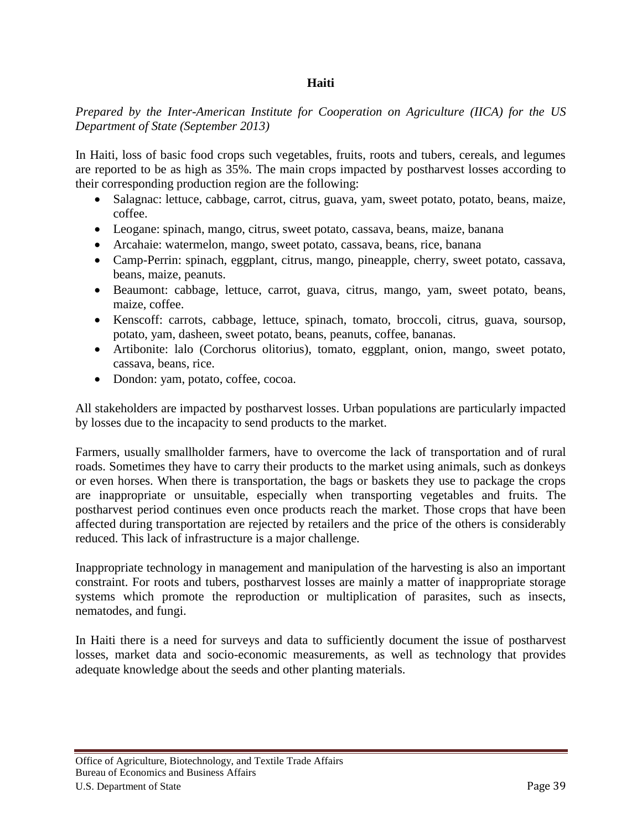## **Haiti**

*Prepared by the Inter-American Institute for Cooperation on Agriculture (IICA) for the US Department of State (September 2013)*

In Haiti, loss of basic food crops such vegetables, fruits, roots and tubers, cereals, and legumes are reported to be as high as 35%. The main crops impacted by postharvest losses according to their corresponding production region are the following:

- Salagnac: lettuce, cabbage, carrot, citrus, guava, yam, sweet potato, potato, beans, maize, coffee.
- Leogane: spinach, mango, citrus, sweet potato, cassava, beans, maize, banana
- Arcahaie: watermelon, mango, sweet potato, cassava, beans, rice, banana
- Camp-Perrin: spinach, eggplant, citrus, mango, pineapple, cherry, sweet potato, cassava, beans, maize, peanuts.
- Beaumont: cabbage, lettuce, carrot, guava, citrus, mango, yam, sweet potato, beans, maize, coffee.
- Kenscoff: carrots, cabbage, lettuce, spinach, tomato, broccoli, citrus, guava, soursop, potato, yam, dasheen, sweet potato, beans, peanuts, coffee, bananas.
- Artibonite: lalo (Corchorus olitorius), tomato, eggplant, onion, mango, sweet potato, cassava, beans, rice.
- Dondon: yam, potato, coffee, cocoa.

All stakeholders are impacted by postharvest losses. Urban populations are particularly impacted by losses due to the incapacity to send products to the market.

Farmers, usually smallholder farmers, have to overcome the lack of transportation and of rural roads. Sometimes they have to carry their products to the market using animals, such as donkeys or even horses. When there is transportation, the bags or baskets they use to package the crops are inappropriate or unsuitable, especially when transporting vegetables and fruits. The postharvest period continues even once products reach the market. Those crops that have been affected during transportation are rejected by retailers and the price of the others is considerably reduced. This lack of infrastructure is a major challenge.

Inappropriate technology in management and manipulation of the harvesting is also an important constraint. For roots and tubers, postharvest losses are mainly a matter of inappropriate storage systems which promote the reproduction or multiplication of parasites, such as insects, nematodes, and fungi.

In Haiti there is a need for surveys and data to sufficiently document the issue of postharvest losses, market data and socio-economic measurements, as well as technology that provides adequate knowledge about the seeds and other planting materials.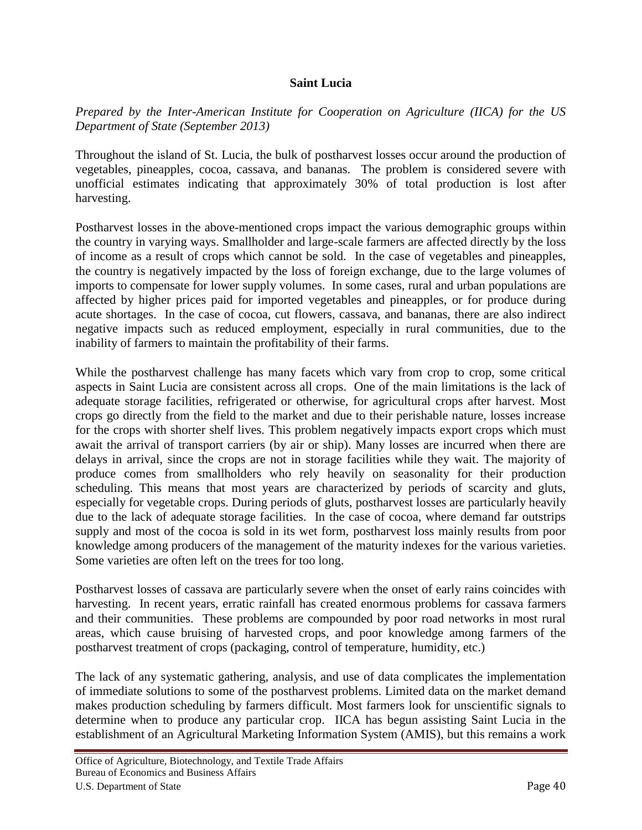### **Saint Lucia**

*Prepared by the Inter-American Institute for Cooperation on Agriculture (IICA) for the US Department of State (September 2013)*

Throughout the island of St. Lucia, the bulk of postharvest losses occur around the production of vegetables, pineapples, cocoa, cassava, and bananas. The problem is considered severe with unofficial estimates indicating that approximately 30% of total production is lost after harvesting.

Postharvest losses in the above-mentioned crops impact the various demographic groups within the country in varying ways. Smallholder and large-scale farmers are affected directly by the loss of income as a result of crops which cannot be sold. In the case of vegetables and pineapples, the country is negatively impacted by the loss of foreign exchange, due to the large volumes of imports to compensate for lower supply volumes. In some cases, rural and urban populations are affected by higher prices paid for imported vegetables and pineapples, or for produce during acute shortages. In the case of cocoa, cut flowers, cassava, and bananas, there are also indirect negative impacts such as reduced employment, especially in rural communities, due to the inability of farmers to maintain the profitability of their farms.

While the postharvest challenge has many facets which vary from crop to crop, some critical aspects in Saint Lucia are consistent across all crops. One of the main limitations is the lack of adequate storage facilities, refrigerated or otherwise, for agricultural crops after harvest. Most crops go directly from the field to the market and due to their perishable nature, losses increase for the crops with shorter shelf lives. This problem negatively impacts export crops which must await the arrival of transport carriers (by air or ship). Many losses are incurred when there are delays in arrival, since the crops are not in storage facilities while they wait. The majority of produce comes from smallholders who rely heavily on seasonality for their production scheduling. This means that most years are characterized by periods of scarcity and gluts, especially for vegetable crops. During periods of gluts, postharvest losses are particularly heavily due to the lack of adequate storage facilities. In the case of cocoa, where demand far outstrips supply and most of the cocoa is sold in its wet form, postharvest loss mainly results from poor knowledge among producers of the management of the maturity indexes for the various varieties. Some varieties are often left on the trees for too long.

Postharvest losses of cassava are particularly severe when the onset of early rains coincides with harvesting. In recent years, erratic rainfall has created enormous problems for cassava farmers and their communities. These problems are compounded by poor road networks in most rural areas, which cause bruising of harvested crops, and poor knowledge among farmers of the postharvest treatment of crops (packaging, control of temperature, humidity, etc.)

The lack of any systematic gathering, analysis, and use of data complicates the implementation of immediate solutions to some of the postharvest problems. Limited data on the market demand makes production scheduling by farmers difficult. Most farmers look for unscientific signals to determine when to produce any particular crop. IICA has begun assisting Saint Lucia in the establishment of an Agricultural Marketing Information System (AMIS), but this remains a work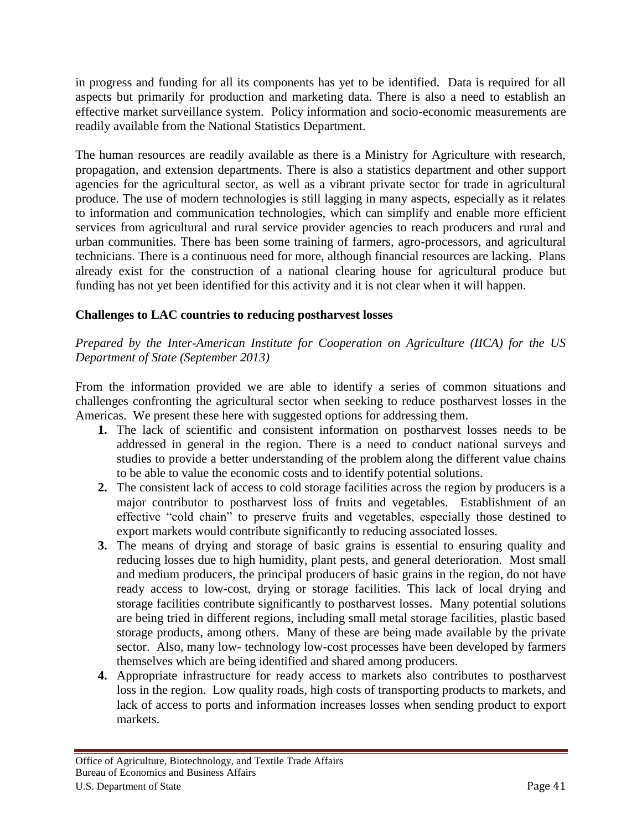in progress and funding for all its components has yet to be identified. Data is required for all aspects but primarily for production and marketing data. There is also a need to establish an effective market surveillance system. Policy information and socio-economic measurements are readily available from the National Statistics Department.

The human resources are readily available as there is a Ministry for Agriculture with research, propagation, and extension departments. There is also a statistics department and other support agencies for the agricultural sector, as well as a vibrant private sector for trade in agricultural produce. The use of modern technologies is still lagging in many aspects, especially as it relates to information and communication technologies, which can simplify and enable more efficient services from agricultural and rural service provider agencies to reach producers and rural and urban communities. There has been some training of farmers, agro-processors, and agricultural technicians. There is a continuous need for more, although financial resources are lacking. Plans already exist for the construction of a national clearing house for agricultural produce but funding has not yet been identified for this activity and it is not clear when it will happen.

## **Challenges to LAC countries to reducing postharvest losses**

*Prepared by the Inter-American Institute for Cooperation on Agriculture (IICA) for the US Department of State (September 2013)*

From the information provided we are able to identify a series of common situations and challenges confronting the agricultural sector when seeking to reduce postharvest losses in the Americas. We present these here with suggested options for addressing them.

- **1.** The lack of scientific and consistent information on postharvest losses needs to be addressed in general in the region. There is a need to conduct national surveys and studies to provide a better understanding of the problem along the different value chains to be able to value the economic costs and to identify potential solutions.
- **2.** The consistent lack of access to cold storage facilities across the region by producers is a major contributor to postharvest loss of fruits and vegetables. Establishment of an effective "cold chain" to preserve fruits and vegetables, especially those destined to export markets would contribute significantly to reducing associated losses.
- **3.** The means of drying and storage of basic grains is essential to ensuring quality and reducing losses due to high humidity, plant pests, and general deterioration. Most small and medium producers, the principal producers of basic grains in the region, do not have ready access to low-cost, drying or storage facilities. This lack of local drying and storage facilities contribute significantly to postharvest losses. Many potential solutions are being tried in different regions, including small metal storage facilities, plastic based storage products, among others. Many of these are being made available by the private sector. Also, many low- technology low-cost processes have been developed by farmers themselves which are being identified and shared among producers.
- **4.** Appropriate infrastructure for ready access to markets also contributes to postharvest loss in the region. Low quality roads, high costs of transporting products to markets, and lack of access to ports and information increases losses when sending product to export markets.